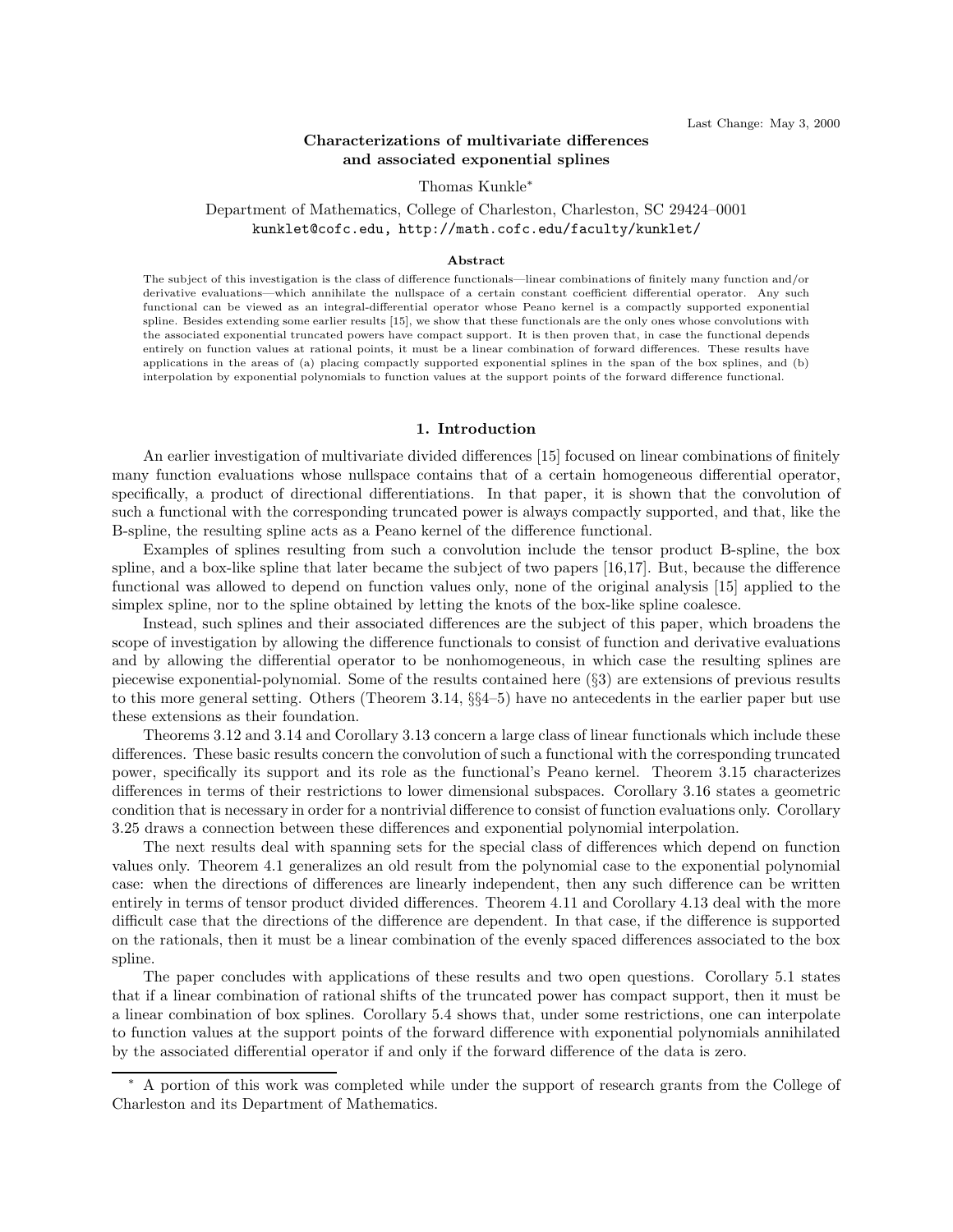# Characterizations of multivariate differences and associated exponential splines

#### Thomas Kunkle<sup>∗</sup>

# Department of Mathematics, College of Charleston, Charleston, SC 29424–0001 kunklet@cofc.edu, http://math.cofc.edu/faculty/kunklet/

#### Abstract

The subject of this investigation is the class of difference functionals—linear combinations of finitely many function and/or derivative evaluations—which annihilate the nullspace of a certain constant coefficient differential operator. Any such functional can be viewed as an integral-differential operator whose Peano kernel is a compactly supported exponential spline. Besides extending some earlier results [15], we show that these functionals are the only ones whose convolutions with the associated exponential truncated powers have compact support. It is then proven that, in case the functional depends entirely on function values at rational points, it must be a linear combination of forward differences. These results have applications in the areas of (a) placing compactly supported exponential splines in the span of the box splines, and (b) interpolation by exponential polynomials to function values at the support points of the forward difference functional.

### 1. Introduction

An earlier investigation of multivariate divided differences [15] focused on linear combinations of finitely many function evaluations whose nullspace contains that of a certain homogeneous differential operator, specifically, a product of directional differentiations. In that paper, it is shown that the convolution of such a functional with the corresponding truncated power is always compactly supported, and that, like the B-spline, the resulting spline acts as a Peano kernel of the difference functional.

Examples of splines resulting from such a convolution include the tensor product B-spline, the box spline, and a box-like spline that later became the subject of two papers [16,17]. But, because the difference functional was allowed to depend on function values only, none of the original analysis [15] applied to the simplex spline, nor to the spline obtained by letting the knots of the box-like spline coalesce.

Instead, such splines and their associated differences are the subject of this paper, which broadens the scope of investigation by allowing the difference functionals to consist of function and derivative evaluations and by allowing the differential operator to be nonhomogeneous, in which case the resulting splines are piecewise exponential-polynomial. Some of the results contained here (§3) are extensions of previous results to this more general setting. Others (Theorem 3.14, §§4–5) have no antecedents in the earlier paper but use these extensions as their foundation.

Theorems 3.12 and 3.14 and Corollary 3.13 concern a large class of linear functionals which include these differences. These basic results concern the convolution of such a functional with the corresponding truncated power, specifically its support and its role as the functional's Peano kernel. Theorem 3.15 characterizes differences in terms of their restrictions to lower dimensional subspaces. Corollary 3.16 states a geometric condition that is necessary in order for a nontrivial difference to consist of function evaluations only. Corollary 3.25 draws a connection between these differences and exponential polynomial interpolation.

The next results deal with spanning sets for the special class of differences which depend on function values only. Theorem 4.1 generalizes an old result from the polynomial case to the exponential polynomial case: when the directions of differences are linearly independent, then any such difference can be written entirely in terms of tensor product divided differences. Theorem 4.11 and Corollary 4.13 deal with the more difficult case that the directions of the difference are dependent. In that case, if the difference is supported on the rationals, then it must be a linear combination of the evenly spaced differences associated to the box spline.

The paper concludes with applications of these results and two open questions. Corollary 5.1 states that if a linear combination of rational shifts of the truncated power has compact support, then it must be a linear combination of box splines. Corollary 5.4 shows that, under some restrictions, one can interpolate to function values at the support points of the forward difference with exponential polynomials annihilated by the associated differential operator if and only if the forward difference of the data is zero.

<sup>∗</sup> A portion of this work was completed while under the support of research grants from the College of Charleston and its Department of Mathematics.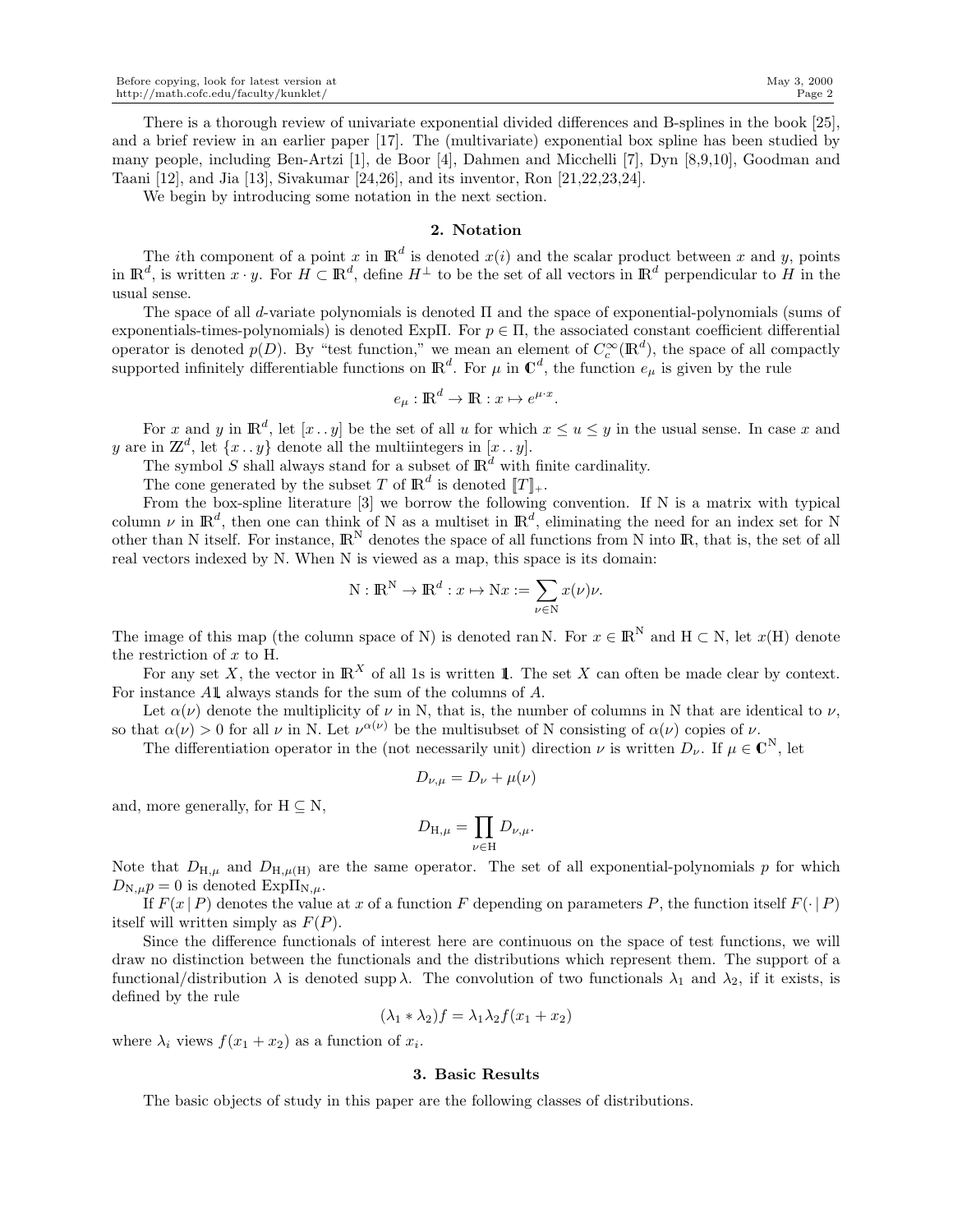There is a thorough review of univariate exponential divided differences and B-splines in the book [25], and a brief review in an earlier paper [17]. The (multivariate) exponential box spline has been studied by many people, including Ben-Artzi [1], de Boor [4], Dahmen and Micchelli [7], Dyn [8,9,10], Goodman and Taani [12], and Jia [13], Sivakumar [24,26], and its inventor, Ron [21,22,23,24].

We begin by introducing some notation in the next section.

# 2. Notation

The *i*th component of a point x in  $\mathbb{R}^d$  is denoted  $x(i)$  and the scalar product between x and y, points in  $\mathbb{R}^d$ , is written  $x \cdot y$ . For  $H \subset \mathbb{R}^d$ , define  $H^{\perp}$  to be the set of all vectors in  $\mathbb{R}^d$  perpendicular to H in the usual sense.

The space of all d-variate polynomials is denoted Π and the space of exponential-polynomials (sums of exponentials-times-polynomials) is denoted ExpΠ. For  $p \in \Pi$ , the associated constant coefficient differential operator is denoted  $p(D)$ . By "test function," we mean an element of  $C_c^{\infty}(\mathbb{R}^d)$ , the space of all compactly supported infinitely differentiable functions on  $\mathbb{R}^d$ . For  $\mu$  in  $\mathbb{C}^d$ , the function  $e_\mu$  is given by the rule

$$
e_{\mu} : \mathbb{R}^d \to \mathbb{R} : x \mapsto e^{\mu \cdot x}.
$$

For x and y in  $\mathbb{R}^d$ , let  $[x \cdot y]$  be the set of all u for which  $x \le u \le y$  in the usual sense. In case x and y are in  $\mathbb{Z}^d$ , let  $\{x \dots y\}$  denote all the multiintegers in  $[x \dots y]$ .

The symbol S shall always stand for a subset of  $\mathbb{R}^d$  with finite cardinality.

The cone generated by the subset T of  $\mathbb{R}^d$  is denoted  $[[T]]_+$ .

From the box-spline literature [3] we borrow the following convention. If N is a matrix with typical column  $\nu$  in  $\mathbb{R}^d$ , then one can think of N as a multiset in  $\mathbb{R}^d$ , eliminating the need for an index set for N other than N itself. For instance,  $\mathbb{R}^{N}$  denotes the space of all functions from N into  $\mathbb{R}$ , that is, the set of all real vectors indexed by N. When N is viewed as a map, this space is its domain:

$$
N : \mathbb{R}^{N} \to \mathbb{R}^{d} : x \mapsto Nx := \sum_{\nu \in N} x(\nu)\nu.
$$

The image of this map (the column space of N) is denoted ran N. For  $x \in \mathbb{R}^N$  and  $H \subset N$ , let  $x(H)$  denote the restriction of  $x$  to H.

For any set X, the vector in  $\mathbb{R}^X$  of all 1s is written 1. The set X can often be made clear by context. For instance A1 always stands for the sum of the columns of A.

Let  $\alpha(\nu)$  denote the multiplicity of  $\nu$  in N, that is, the number of columns in N that are identical to  $\nu$ , so that  $\alpha(\nu) > 0$  for all  $\nu$  in N. Let  $\nu^{\alpha(\nu)}$  be the multisubset of N consisting of  $\alpha(\nu)$  copies of  $\nu$ .

The differentiation operator in the (not necessarily unit) direction  $\nu$  is written  $D_{\nu}$ . If  $\mu \in \mathbb{C}^{N}$ , let

$$
D_{\nu,\mu} = D_{\nu} + \mu(\nu)
$$

and, more generally, for  $H \subset N$ ,

$$
D_{\mathcal{H},\mu} = \prod_{\nu \in \mathcal{H}} D_{\nu,\mu}.
$$

Note that  $D_{H,\mu}$  and  $D_{H,\mu(H)}$  are the same operator. The set of all exponential-polynomials p for which  $D_{N,\mu}p = 0$  is denoted  $Exp\Pi_{N,\mu}$ .

If  $F(x | P)$  denotes the value at x of a function F depending on parameters P, the function itself  $F(\cdot | P)$ itself will written simply as  $F(P)$ .

Since the difference functionals of interest here are continuous on the space of test functions, we will draw no distinction between the functionals and the distributions which represent them. The support of a functional/distribution  $\lambda$  is denoted supp  $\lambda$ . The convolution of two functionals  $\lambda_1$  and  $\lambda_2$ , if it exists, is defined by the rule

$$
(\lambda_1 * \lambda_2)f = \lambda_1 \lambda_2 f(x_1 + x_2)
$$

where  $\lambda_i$  views  $f(x_1 + x_2)$  as a function of  $x_i$ .

#### 3. Basic Results

The basic objects of study in this paper are the following classes of distributions.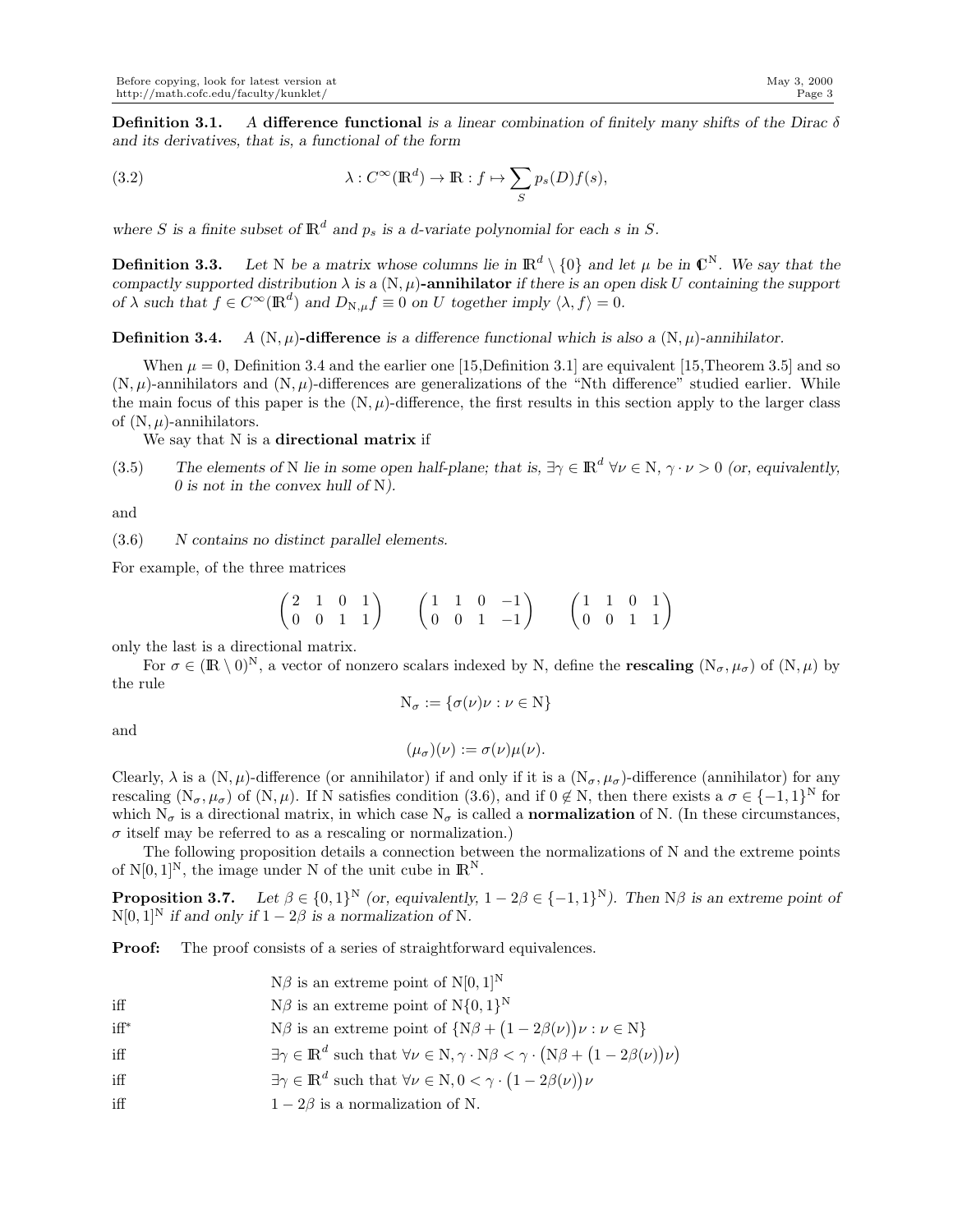Definition 3.1. *A* difference functional *is a linear combination of finitely many shifts of the Dirac* δ *and its derivatives, that is, a functional of the form*

(3.2) 
$$
\lambda : C^{\infty}(\mathbb{R}^d) \to \mathbb{R} : f \mapsto \sum_{S} p_s(D)f(s),
$$

where *S* is a finite subset of  $\mathbb{R}^d$  and  $p_s$  is a *d*-variate polynomial for each *s* in *S*.

**Definition 3.3.** Let N be a matrix whose columns lie in  $\mathbb{R}^d \setminus \{0\}$  and let  $\mu$  be in  $\mathbb{C}^N$ . We say that the *compactly supported distribution*  $\lambda$  *is a* (N,  $\mu$ )-annihilator *if there is an open disk U containing the support of*  $\lambda$  *such that*  $f \in C^{\infty}(\mathbb{R}^d)$  *and*  $D_{N,\mu} f \equiv 0$  *on* U *together imply*  $\langle \lambda, f \rangle = 0$ *.* 

**Definition 3.4.** *A*  $(N, \mu)$ -difference *is a difference functional which is also a*  $(N, \mu)$ -annihilator.

When  $\mu = 0$ , Definition 3.4 and the earlier one [15,Definition 3.1] are equivalent [15,Theorem 3.5] and so  $(N, \mu)$ -annihilators and  $(N, \mu)$ -differences are generalizations of the "Nth difference" studied earlier. While the main focus of this paper is the  $(N, \mu)$ -difference, the first results in this section apply to the larger class of  $(N, \mu)$ -annihilators.

We say that N is a directional matrix if

(3.5) The elements of N lie in some open half-plane; that is,  $\exists \gamma \in \mathbb{R}^d \ \forall \nu \in N, \ \gamma \cdot \nu > 0$  (or, equivalently, *0 is not in the convex hull of* N*).*

and

(3.6) *N contains no distinct parallel elements.*

For example, of the three matrices

$$
\begin{pmatrix} 2 & 1 & 0 & 1 \\ 0 & 0 & 1 & 1 \end{pmatrix} \qquad \begin{pmatrix} 1 & 1 & 0 & -1 \\ 0 & 0 & 1 & -1 \end{pmatrix} \qquad \begin{pmatrix} 1 & 1 & 0 & 1 \\ 0 & 0 & 1 & 1 \end{pmatrix}
$$

only the last is a directional matrix.

For  $\sigma \in (\mathbb{R} \setminus 0)^N$ , a vector of nonzero scalars indexed by N, define the **rescaling**  $(N_{\sigma}, \mu_{\sigma})$  of  $(N, \mu)$  by the rule

$$
N_{\sigma} := \{ \sigma(\nu)\nu : \nu \in N \}
$$

and

$$
(\mu_{\sigma})(\nu) := \sigma(\nu)\mu(\nu).
$$

Clearly,  $\lambda$  is a  $(N, \mu)$ -difference (or annihilator) if and only if it is a  $(N_{\sigma}, \mu_{\sigma})$ -difference (annihilator) for any rescaling  $(N_{\sigma}, \mu_{\sigma})$  of  $(N, \mu)$ . If N satisfies condition (3.6), and if  $0 \notin N$ , then there exists a  $\sigma \in \{-1, 1\}^N$  for which  $N_{\sigma}$  is a directional matrix, in which case  $N_{\sigma}$  is called a **normalization** of N. (In these circumstances,  $\sigma$  itself may be referred to as a rescaling or normalization.)

The following proposition details a connection between the normalizations of N and the extreme points of  $N[0, 1]^N$ , the image under N of the unit cube in  $\mathbb{R}^N$ .

**Proposition 3.7.** Let  $\beta \in \{0,1\}^N$  (or, equivalently,  $1 - 2\beta \in \{-1,1\}^N$ ). Then  $N\beta$  is an extreme point of  $N[0, 1]$ <sup>N</sup> *if and only if*  $1 - 2\beta$  *is a normalization of* N.

**Proof:** The proof consists of a series of straightforward equivalences.

- $N\beta$  is an extreme point of  $N[0, 1]^N$ iff  $N\beta$  is an extreme point of  $N\{0,1\}^N$
- iff<sup>\*</sup>  $N\beta$  is an extreme point of  $\{N\beta + (1 2\beta(\nu))\nu : \nu \in N\}$ ∗
- $\exists \gamma \in \mathbb{R}^d$  such that  $\forall \nu \in \mathbb{N}, \gamma \cdot \mathbb{N}\beta < \gamma \cdot (\mathbb{N}\beta + (1 2\beta(\nu))\nu)$ iff
- iff  $\exists \gamma \in \mathbb{R}^d$  such that  $\forall \nu \in \mathbb{N}, 0 < \gamma \cdot (1 2\beta(\nu))\nu$
- iff  $1 2\beta$  is a normalization of N.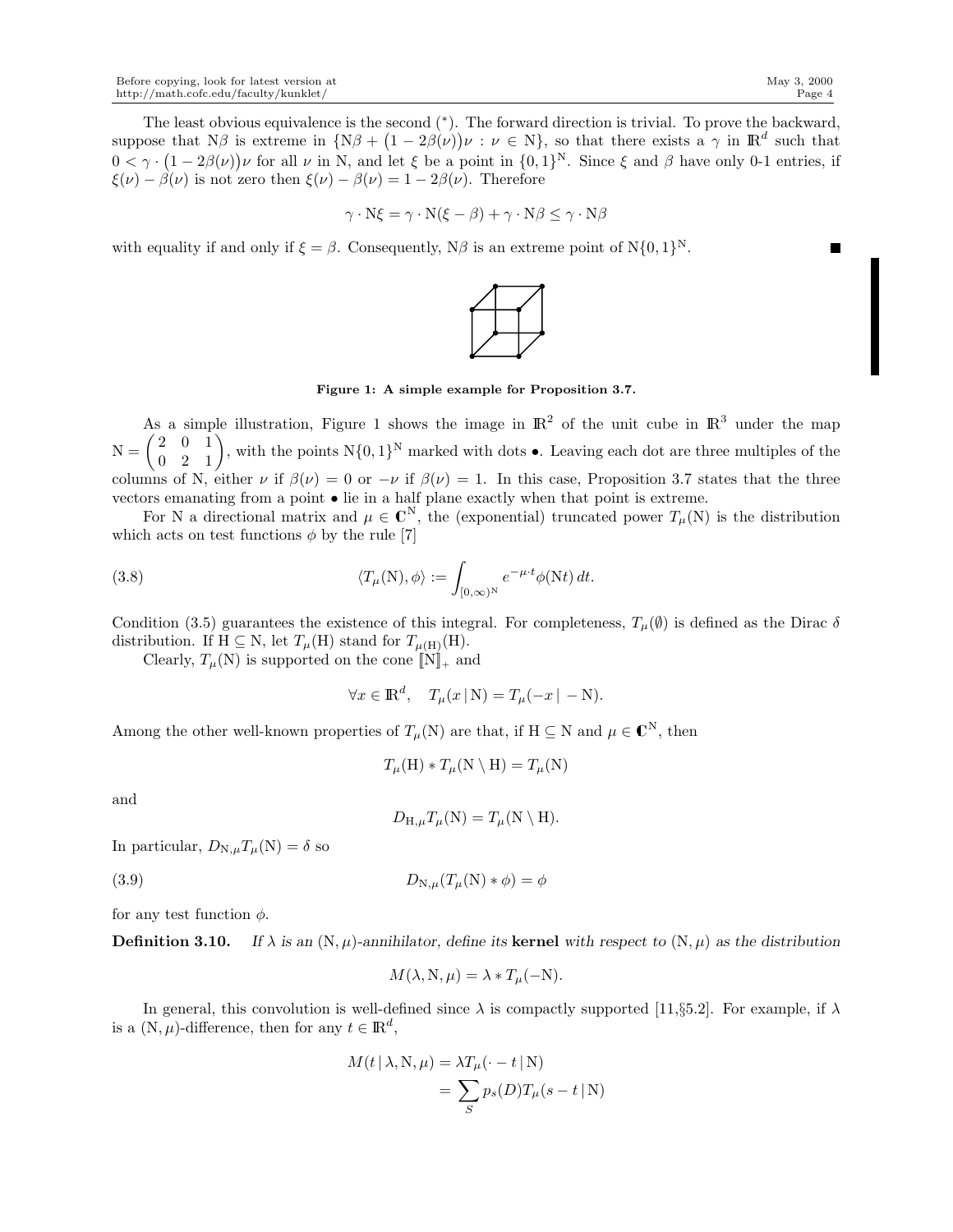$$
\gamma \cdot N\xi = \gamma \cdot N(\xi - \beta) + \gamma \cdot N\beta \le \gamma \cdot N\beta
$$

with equality if and only if  $\xi = \beta$ . Consequently,  $N\beta$  is an extreme point of  $N\{0, 1\}^N$ .



Figure 1: A simple example for Proposition 3.7.

As a simple illustration, Figure 1 shows the image in  $\mathbb{R}^2$  of the unit cube in  $\mathbb{R}^3$  under the map  $N = \begin{pmatrix} 2 & 0 & 1 \ 0 & 2 & 1 \end{pmatrix}$ , with the points  $N\{0,1\}^N$  marked with dots  $\bullet$ . Leaving each dot are three multiples of the columns of N, either  $\nu$  if  $\beta(\nu) = 0$  or  $-\nu$  if  $\beta(\nu) = 1$ . In this case, Proposition 3.7 states that the three vectors emanating from a point • lie in a half plane exactly when that point is extreme.

For N a directional matrix and  $\mu \in \mathbb{C}^{N}$ , the (exponential) truncated power  $T_{\mu}(N)$  is the distribution which acts on test functions  $\phi$  by the rule [7]

(3.8) 
$$
\langle T_{\mu}(\mathbf{N}), \phi \rangle := \int_{[0,\infty)^{\mathbf{N}}} e^{-\mu \cdot t} \phi(\mathbf{N} t) dt.
$$

Condition (3.5) guarantees the existence of this integral. For completeness,  $T_u(\emptyset)$  is defined as the Dirac  $\delta$ distribution. If H  $\subseteq$  N, let  $T_{\mu}$ (H) stand for  $T_{\mu(H)}$ (H).

Clearly,  $T_{\mu}(\mathbf{N})$  is supported on the cone  $[\![\mathbf{N}]\!]_+$  and

$$
\forall x \in \mathbb{R}^d, \quad T_\mu(x \mid \mathcal{N}) = T_\mu(-x \mid -\mathcal{N}).
$$

Among the other well-known properties of  $T_{\mu}(\mathbb{N})$  are that, if  $\mathbb{H} \subseteq \mathbb{N}$  and  $\mu \in \mathbb{C}^{\mathbb{N}}$ , then

$$
T_{\mu}(\mathcal{H}) * T_{\mu}(\mathcal{N} \setminus \mathcal{H}) = T_{\mu}(\mathcal{N})
$$

and

$$
D_{H,\mu}T_{\mu}(N) = T_{\mu}(N \setminus H).
$$

In particular,  $D_{N,\mu}T_{\mu}(N) = \delta$  so

$$
(3.9) \t\t DN,\mu(T\mu(N) * φ) = φ
$$

for any test function  $\phi$ .

**Definition 3.10.** If  $\lambda$  is an  $(N, \mu)$ -annihilator, define its **kernel** with respect to  $(N, \mu)$  as the distribution

$$
M(\lambda, N, \mu) = \lambda * T_{\mu}(-N).
$$

In general, this convolution is well-defined since  $\lambda$  is compactly supported [11,§5.2]. For example, if  $\lambda$ is a  $(N, \mu)$ -difference, then for any  $t \in \mathbb{R}^d$ ,

$$
M(t | \lambda, N, \mu) = \lambda T_{\mu}(\cdot - t | N)
$$
  
= 
$$
\sum_{S} p_{s}(D) T_{\mu}(s - t | N)
$$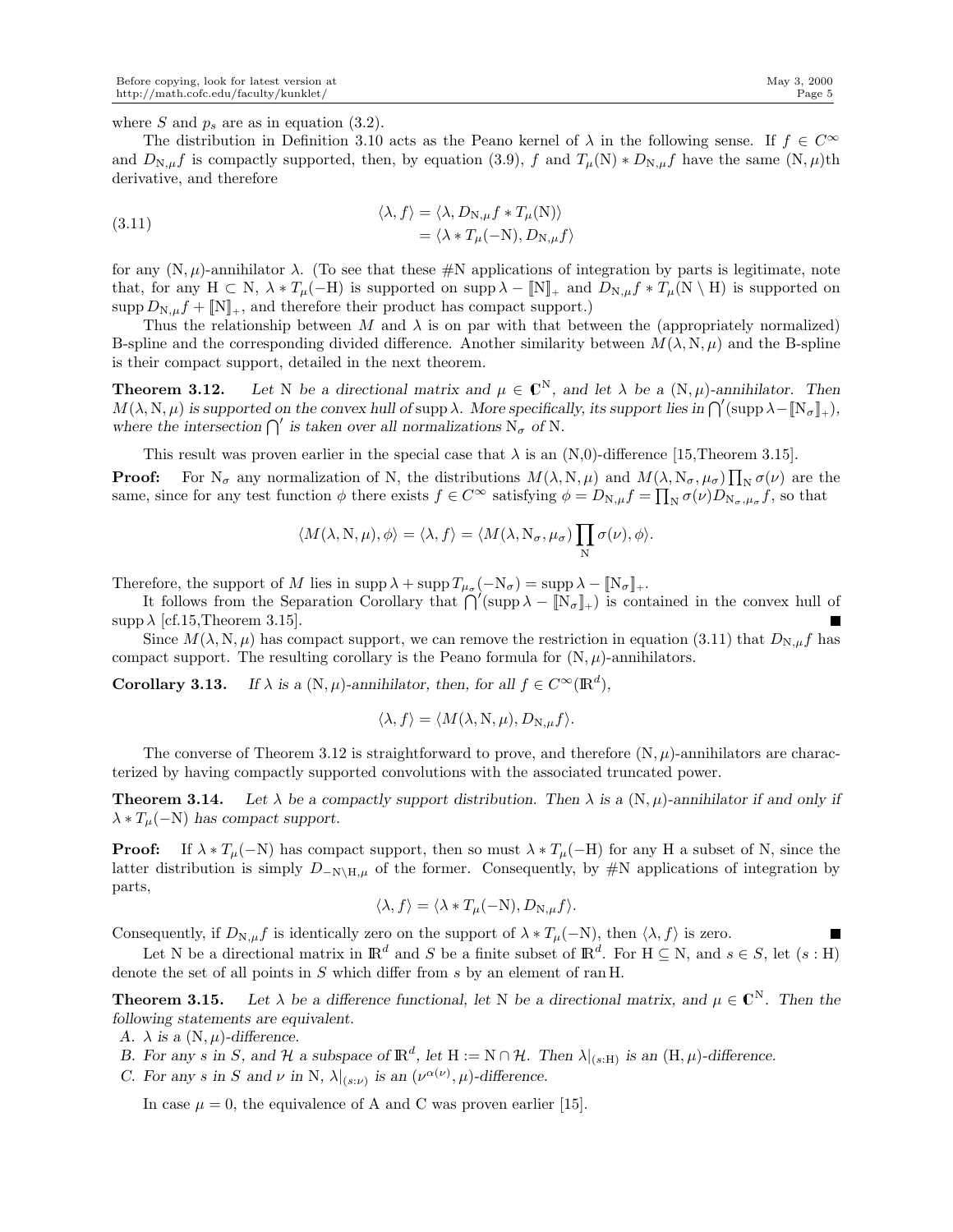**The Second Service** 

where S and  $p_s$  are as in equation (3.2).

The distribution in Definition 3.10 acts as the Peano kernel of  $\lambda$  in the following sense. If  $f \in C^{\infty}$ and  $D_{N,\mu}f$  is compactly supported, then, by equation (3.9), f and  $T_{\mu}(N) * D_{N,\mu}f$  have the same  $(N,\mu)$ th derivative, and therefore

(3.11) 
$$
\langle \lambda, f \rangle = \langle \lambda, D_{N,\mu} f * T_{\mu}(N) \rangle = \langle \lambda * T_{\mu}(-N), D_{N,\mu} f \rangle
$$

for any  $(N, \mu)$ -annihilator  $\lambda$ . (To see that these #N applications of integration by parts is legitimate, note that, for any H ⊂ N,  $\lambda * T_{\mu}(-H)$  is supported on supp  $\lambda - [N]_+$  and  $D_{N,\mu} f * T_{\mu}(N \setminus H)$  is supported on  $\text{supp } D_{N,\mu}f + \llbracket N \rrbracket_+,$  and therefore their product has compact support.)

Thus the relationship between  $M$  and  $\lambda$  is on par with that between the (appropriately normalized) B-spline and the corresponding divided difference. Another similarity between  $M(\lambda, N, \mu)$  and the B-spline is their compact support, detailed in the next theorem.

**Theorem 3.12.** Let N be a directional matrix and  $\mu \in \mathbb{C}^N$ , and let  $\lambda$  be a  $(N, \mu)$ -annihilator. Then  $M(\lambda, N, \mu)$  is supported on the convex hull of supp  $\lambda$ . More specifically, its support lies in  $\bigcap'(\text{supp }\lambda - [\![N_\sigma]\!]_+,$ where the intersection  $\bigcap'$  is taken over all normalizations  $N_{\sigma}$  of N.

This result was proven earlier in the special case that  $\lambda$  is an (N,0)-difference [15,Theorem 3.15].

**Proof:** For  $N_{\sigma}$  any normalization of N, the distributions  $M(\lambda, N, \mu)$  and  $M(\lambda, N_{\sigma}, \mu_{\sigma}) \prod_{N} \sigma(\nu)$  are the same, since for any test function  $\phi$  there exists  $f \in C^{\infty}$  satisfying  $\phi = D_{N,\mu} f = \prod_{N} \sigma(\nu) D_{N_{\sigma},\mu_{\sigma}} f$ , so that

$$
\langle M(\lambda, N, \mu), \phi \rangle = \langle \lambda, f \rangle = \langle M(\lambda, N_{\sigma}, \mu_{\sigma}) \prod_{N} \sigma(\nu), \phi \rangle.
$$

Therefore, the support of M lies in supp  $\lambda + \text{supp } T_{\mu_{\sigma}}(-N_{\sigma}) = \text{supp }\lambda - \llbracket N_{\sigma} \rrbracket_+.$ 

It follows from the Separation Corollary that  $\bigcap'(\text{supp }\lambda - [\![N_\sigma]\!]_+)$  is contained in the convex hull of  $\supp \lambda$  [cf.15,Theorem 3.15].

Since  $M(\lambda, N, \mu)$  has compact support, we can remove the restriction in equation (3.11) that  $D_{N,\mu}f$  has compact support. The resulting corollary is the Peano formula for  $(N, \mu)$ -annihilators.

**Corollary 3.13.** *If*  $\lambda$  *is a* (N,  $\mu$ )*-annihilator, then, for all*  $f \in C^{\infty}(\mathbb{R}^d)$ *,* 

$$
\langle \lambda, f \rangle = \langle M(\lambda, N, \mu), D_{N, \mu} f \rangle.
$$

The converse of Theorem 3.12 is straightforward to prove, and therefore  $(N, \mu)$ -annihilators are characterized by having compactly supported convolutions with the associated truncated power.

**Theorem 3.14.** Let  $\lambda$  be a compactly support distribution. Then  $\lambda$  is a  $(N, \mu)$ -annihilator if and only if  $\lambda * T_{\mu}(-N)$  has compact support.

**Proof:** If  $\lambda * T_{\mu}(-N)$  has compact support, then so must  $\lambda * T_{\mu}(-N)$  for any H a subset of N, since the latter distribution is simply  $D_{-N\hbox{\rm\tiny}|\mathcal{H},\mu}$  of the former. Consequently, by #N applications of integration by parts,

$$
\langle \lambda, f \rangle = \langle \lambda \ast T_{\mu}(-N), D_{N, \mu}f \rangle.
$$

Consequently, if  $D_{N,\mu}f$  is identically zero on the support of  $\lambda * T_{\mu}(-N)$ , then  $\langle \lambda, f \rangle$  is zero.

Let N be a directional matrix in  $\mathbb{R}^d$  and S be a finite subset of  $\mathbb{R}^d$ . For  $H \subseteq N$ , and  $s \in S$ , let  $(s : H)$ denote the set of all points in S which differ from s by an element of ran H.

**Theorem 3.15.** Let  $\lambda$  be a difference functional, let N be a directional matrix, and  $\mu \in \mathbb{C}^N$ . Then the *following statements are equivalent.*

*A.*  $\lambda$  *is a*  $(N, \mu)$ *-difference.* 

- *B.* For any s in S, and H a subspace of  $\mathbb{R}^d$ , let  $H := N \cap H$ . Then  $\lambda|_{(s:H)}$  is an  $(H, \mu)$ -difference.
- *C.* For any *s* in *S* and  $\nu$  in N,  $\lambda|_{(s:\nu)}$  is an  $(\nu^{\alpha(\nu)}, \mu)$ -difference.

In case  $\mu = 0$ , the equivalence of A and C was proven earlier [15].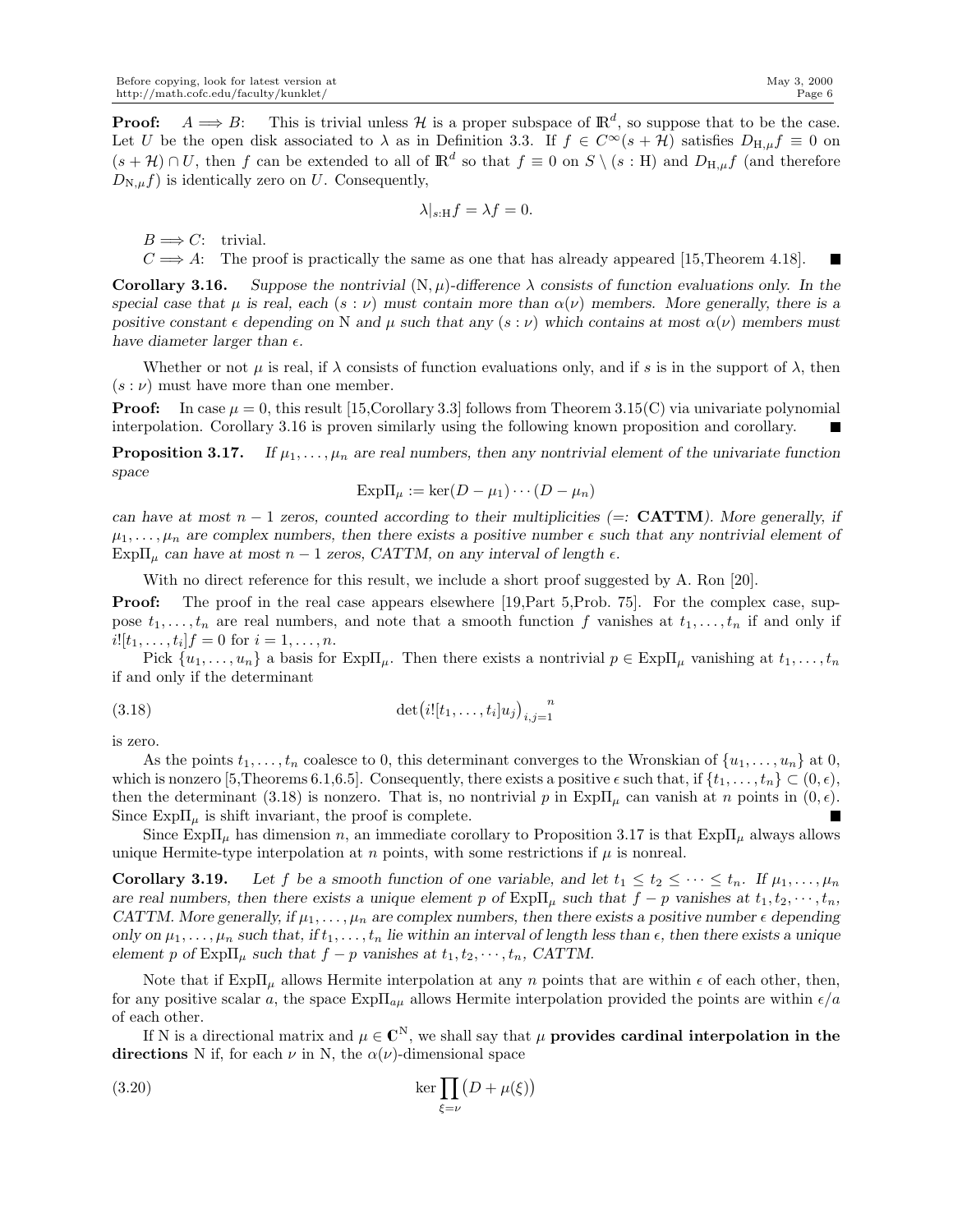**Proof:**  $A \Longrightarrow B$ : This is trivial unless H is a proper subspace of  $\mathbb{R}^d$ , so suppose that to be the case. Let U be the open disk associated to  $\lambda$  as in Definition 3.3. If  $f \in C^{\infty}(s + \mathcal{H})$  satisfies  $D_{H,\mu} f \equiv 0$  on  $(s + H) \cap U$ , then f can be extended to all of  $\mathbb{R}^d$  so that  $f \equiv 0$  on  $S \setminus (s : H)$  and  $D_{H,\mu}f$  (and therefore  $D_{N,\mu}f$ ) is identically zero on U. Consequently,

$$
\lambda|_{s:H} f = \lambda f = 0.
$$

 $B \Longrightarrow C:$  trivial.

 $C \implies A:$  The proof is practically the same as one that has already appeared [15, Theorem 4.18]. П

**Corollary 3.16.** *Suppose the nontrivial*  $(N, \mu)$ -difference  $\lambda$  consists of function evaluations only. In the *special case that*  $\mu$  *is real, each* ( $s : \nu$ ) *must contain more than*  $\alpha(\nu)$  *members. More generally, there is a positive constant*  $\epsilon$  *depending on* N *and*  $\mu$  *such that any* ( $s : \nu$ ) *which contains at most*  $\alpha(\nu)$  *members must have diameter larger than*  $\epsilon$ *.* 

Whether or not  $\mu$  is real, if  $\lambda$  consists of function evaluations only, and if s is in the support of  $\lambda$ , then  $(s : \nu)$  must have more than one member.

**Proof:** In case  $\mu = 0$ , this result [15, Corollary 3.3] follows from Theorem 3.15(C) via univariate polynomial interpolation. Corollary 3.16 is proven similarly using the following known proposition and corollary.

**Proposition 3.17.** *If*  $\mu_1, \ldots, \mu_n$  *are real numbers, then any nontrivial element of the univariate function space*

$$
Exp\Pi_{\mu} := \ker(D - \mu_1) \cdots (D - \mu_n)
$$

*can have at most*  $n - 1$  *zeros, counted according to their multiplicities (=: CATTM). More generally, if*  $\mu_1, \ldots, \mu_n$  are complex numbers, then there exists a positive number  $\epsilon$  such that any nontrivial element of Exp $\Pi_u$  can have at most  $n-1$  zeros, CATTM, on any interval of length  $\epsilon$ .

With no direct reference for this result, we include a short proof suggested by A. Ron [20].

**Proof:** The proof in the real case appears elsewhere [19, Part 5, Prob. 75]. For the complex case, suppose  $t_1, \ldots, t_n$  are real numbers, and note that a smooth function f vanishes at  $t_1, \ldots, t_n$  if and only if  $i![t_1,\ldots,t_i]$   $f = 0$  for  $i = 1,\ldots,n$ .

Pick  $\{u_1,\ldots,u_n\}$  a basis for Exp $\Pi_\mu$ . Then there exists a nontrivial  $p \in \text{Exp}\Pi_\mu$  vanishing at  $t_1,\ldots,t_n$ if and only if the determinant

$$
(3.18) \qquad \det(i! [t_1, \ldots, t_i] u_j)_{i,j=1}^n
$$

is zero.

As the points  $t_1, \ldots, t_n$  coalesce to 0, this determinant converges to the Wronskian of  $\{u_1, \ldots, u_n\}$  at 0, which is nonzero [5,Theorems 6.1,6.5]. Consequently, there exists a positive  $\epsilon$  such that, if  $\{t_1, \ldots, t_n\} \subset (0, \epsilon)$ , then the determinant (3.18) is nonzero. That is, no nontrivial p in  $\exp\Pi_\mu$  can vanish at n points in  $(0, \epsilon)$ . Since  $\mathrm{Exp}\Pi_{\mu}$  is shift invariant, the proof is complete.

Since  $\mathrm{Exp}\Pi_{\mu}$  has dimension n, an immediate corollary to Proposition 3.17 is that  $\mathrm{Exp}\Pi_{\mu}$  always allows unique Hermite-type interpolation at  $n$  points, with some restrictions if  $\mu$  is nonreal.

**Corollary 3.19.** Let f be a smooth function of one variable, and let  $t_1 \le t_2 \le \cdots \le t_n$ . If  $\mu_1, \ldots, \mu_n$ *are real numbers, then there exists a unique element* p of  $\mathrm{Exp}\Pi_{\mu}$  *such that*  $f - p$  *vanishes at*  $t_1, t_2, \dots, t_n$ , *CATTM. More generally, if*  $\mu_1, \ldots, \mu_n$  *are complex numbers, then there exists a positive number*  $\epsilon$  *depending only on*  $\mu_1, \ldots, \mu_n$  *such that, if*  $t_1, \ldots, t_n$  *lie within an interval of length less than*  $\epsilon$ *, then there exists a unique element* p of  $Exp\Pi_{\mu}$  *such that*  $f - p$  *vanishes at*  $t_1, t_2, \dots, t_n$ , *CATTM.* 

Note that if  $\mathrm{Exp}\Pi_u$  allows Hermite interpolation at any n points that are within  $\epsilon$  of each other, then, for any positive scalar a, the space  $\text{Exp}\Pi_{a\mu}$  allows Hermite interpolation provided the points are within  $\epsilon/a$ of each other.

If N is a directional matrix and  $\mu \in \mathbb{C}^{\mathbb{N}},$  we shall say that  $\mu$  provides cardinal interpolation in the directions N if, for each  $\nu$  in N, the  $\alpha(\nu)$ -dimensional space

(3.20) 
$$
\ker \prod_{\xi=\nu} (D + \mu(\xi))
$$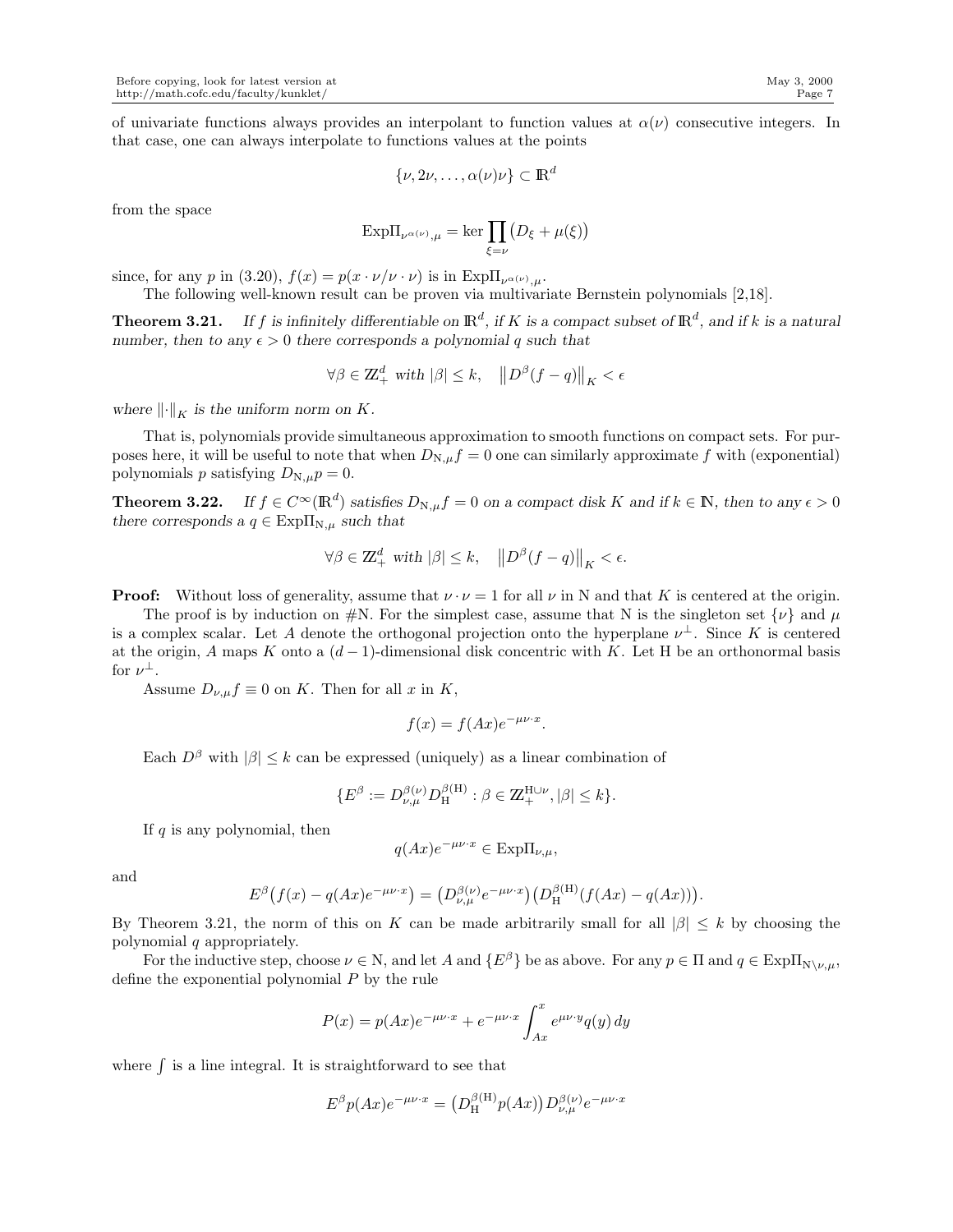of univariate functions always provides an interpolant to function values at  $\alpha(\nu)$  consecutive integers. In that case, one can always interpolate to functions values at the points

$$
\{\nu, 2\nu, \ldots, \alpha(\nu)\nu\} \subset \mathbb{R}^d
$$

from the space

$$
\mathrm{Exp}\Pi_{\nu^{\alpha(\nu)},\mu}=\ker\prod_{\xi=\nu}\bigl(D_\xi+\mu(\xi)\bigr)
$$

since, for any p in (3.20),  $f(x) = p(x \cdot \nu/\nu \cdot \nu)$  is in  $\text{Exp}\Pi_{\nu^{\alpha(\nu)},\mu}$ .

The following well-known result can be proven via multivariate Bernstein polynomials [2,18].

**Theorem 3.21.** If  $f$  is infinitely differentiable on  $\mathbb{R}^d$ , if  $K$  is a compact subset of  $\mathbb{R}^d$ , and if  $k$  is a natural *number, then to any*  $\epsilon > 0$  *there corresponds a polynomial* q *such that* 

$$
\forall \beta \in \mathbb{Z}_+^d \text{ with } |\beta| \le k, \quad \left\| D^{\beta} (f - q) \right\|_K < \epsilon
$$

where  $\left\| \cdot \right\|_K$  *is the uniform norm on* K.

That is, polynomials provide simultaneous approximation to smooth functions on compact sets. For purposes here, it will be useful to note that when  $D_{N,\mu}f = 0$  one can similarly approximate f with (exponential) polynomials p satisfying  $D_{N,\mu}p = 0$ .

**Theorem 3.22.** *If*  $f \in C^{\infty}(\mathbb{R}^d)$  *satisfies*  $D_{N,\mu}f = 0$  *on a compact disk* K and if  $k \in \mathbb{N}$ *, then to any*  $\epsilon > 0$ *there corresponds a*  $q \in \text{Exp}\Pi_{N,\mu}$  *such that* 

$$
\forall \beta \in \mathbb{Z}_+^d \text{ with } |\beta| \leq k, \quad \left\| D^\beta(f - q) \right\|_K < \epsilon.
$$

**Proof:** Without loss of generality, assume that  $\nu \cdot \nu = 1$  for all  $\nu$  in N and that K is centered at the origin.

The proof is by induction on  $\#N$ . For the simplest case, assume that N is the singleton set  $\{\nu\}$  and  $\mu$ is a complex scalar. Let A denote the orthogonal projection onto the hyperplane  $\nu^{\perp}$ . Since K is centered at the origin, A maps K onto a  $(d-1)$ -dimensional disk concentric with K. Let H be an orthonormal basis for  $\nu^{\perp}$ .

Assume  $D_{\nu,\mu}f \equiv 0$  on K. Then for all x in K,

$$
f(x) = f(Ax)e^{-\mu\nu \cdot x}.
$$

Each  $D^{\beta}$  with  $|\beta| \leq k$  can be expressed (uniquely) as a linear combination of

$$
\{E^{\beta} := D_{\nu,\mu}^{\beta(\nu)} D_{\rm H}^{\beta(\rm H)} : \beta \in \mathbb{Z}_{+}^{\rm H\cup \nu}, |\beta| \leq k\}.
$$

If  $q$  is any polynomial, then

$$
q(Ax)e^{-\mu\nu\cdot x} \in \text{Exp}\Pi_{\nu,\mu},
$$

and

$$
E^{\beta}(f(x) - q(Ax)e^{-\mu\nu \cdot x}) = (D^{\beta(\nu)}_{\nu,\mu}e^{-\mu\nu \cdot x})(D^{\beta(H)}_{\text{H}}(f(Ax) - q(Ax))).
$$

By Theorem 3.21, the norm of this on K can be made arbitrarily small for all  $|\beta| \leq k$  by choosing the polynomial q appropriately.

For the inductive step, choose  $\nu \in N$ , and let A and  $\{E^{\beta}\}\$ be as above. For any  $p \in \Pi$  and  $q \in \text{Exp}\Pi_{N\setminus\nu,u}$ , define the exponential polynomial P by the rule

$$
P(x) = p(Ax)e^{-\mu\nu \cdot x} + e^{-\mu\nu \cdot x} \int_{Ax}^{x} e^{\mu\nu \cdot y} q(y) dy
$$

where  $\int$  is a line integral. It is straightforward to see that

$$
E^{\beta}p(Ax)e^{-\mu\nu\cdot x} = (D_{\mathrm{H}}^{\beta(\mathrm{H})}p(Ax))D_{\nu,\mu}^{\beta(\nu)}e^{-\mu\nu\cdot x}
$$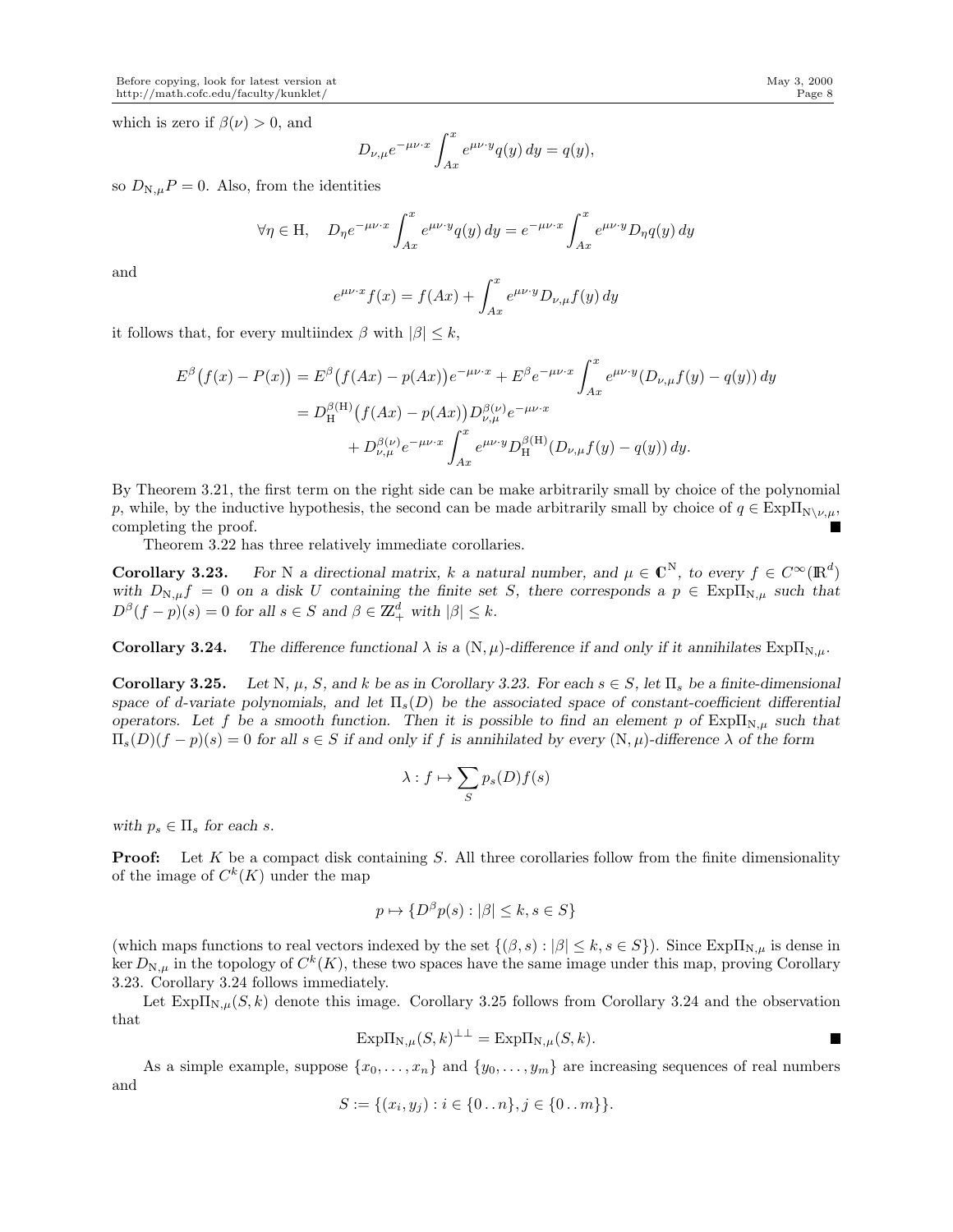which is zero if  $\beta(\nu) > 0$ , and

$$
D_{\nu,\mu}e^{-\mu\nu\cdot x}\int_{Ax}^{x}e^{\mu\nu\cdot y}q(y)\,dy=q(y),
$$

so  $D_{N,\mu}P = 0$ . Also, from the identities

$$
\forall \eta \in \mathcal{H}, \quad D_{\eta}e^{-\mu\nu \cdot x} \int_{Ax}^{x} e^{\mu\nu \cdot y} q(y) \, dy = e^{-\mu\nu \cdot x} \int_{Ax}^{x} e^{\mu\nu \cdot y} D_{\eta} q(y) \, dy
$$

and

$$
e^{\mu\nu\cdot x}f(x) = f(Ax) + \int_{Ax}^{x} e^{\mu\nu\cdot y} D_{\nu,\mu}f(y) dy
$$

it follows that, for every multiindex  $\beta$  with  $|\beta| \leq k$ ,

$$
E^{\beta}(f(x) - P(x)) = E^{\beta}(f(Ax) - p(Ax))e^{-\mu\nu \cdot x} + E^{\beta}e^{-\mu\nu \cdot x} \int_{Ax}^{x} e^{\mu\nu \cdot y} (D_{\nu,\mu}f(y) - q(y)) dy
$$
  
=  $D_{\mathrm{H}}^{\beta(\mathrm{H})}(f(Ax) - p(Ax))D_{\nu,\mu}^{\beta(\nu)}e^{-\mu\nu \cdot x} + D_{\nu,\mu}^{\beta(\nu)}e^{-\mu\nu \cdot x} \int_{Ax}^{x} e^{\mu\nu \cdot y} D_{\mathrm{H}}^{\beta(\mathrm{H})}(D_{\nu,\mu}f(y) - q(y)) dy.$ 

By Theorem 3.21, the first term on the right side can be make arbitrarily small by choice of the polynomial p, while, by the inductive hypothesis, the second can be made arbitrarily small by choice of  $q \in \text{Exp}\Pi_{\text{N}\setminus\nu,\mu}$ , completing the proof. Г

Theorem 3.22 has three relatively immediate corollaries.

**Corollary 3.23.** For N a directional matrix, k a natural number, and  $\mu \in \mathbb{C}^N$ , to every  $f \in C^{\infty}(\mathbb{R}^d)$ with  $D_{N,\mu}f = 0$  on a disk U containing the finite set S, there corresponds a  $p \in Exp\Pi_{N,\mu}$  such that  $D^{\beta}(f - p)(s) = 0$  for all  $s \in S$  and  $\beta \in \mathbb{Z}_{+}^{d}$  with  $|\beta| \leq k$ .

**Corollary 3.24.** *The difference functional*  $\lambda$  *is a* (N,  $\mu$ )*-difference if and only if it annihilates*  $Exp\Pi_{N,\mu}$ .

Corollary 3.25. Let N,  $\mu$ , S, and k be as in Corollary 3.23. For each  $s \in S$ , let  $\Pi_s$  be a finite-dimensional *space of d-variate polynomials, and let*  $\Pi_s(D)$  *be the associated space of constant-coefficient differential operators.* Let f be a smooth function. Then it is possible to find an element p of  $\text{Exp}\Pi_{N,\mu}$  such that  $\Pi_s(D)(f - p)(s) = 0$  for all  $s \in S$  if and only if f is annihilated by every  $(N, \mu)$ -difference  $\lambda$  of the form

$$
\lambda: f \mapsto \sum_{S} p_s(D)f(s)
$$

*with*  $p_s \in \Pi_s$  *for each s.* 

**Proof:** Let K be a compact disk containing S. All three corollaries follow from the finite dimensionality of the image of  $C^k(K)$  under the map

$$
p \mapsto \{D^{\beta}p(s) : |\beta| \le k, s \in S\}
$$

(which maps functions to real vectors indexed by the set  $\{(\beta, s) : |\beta| \leq k, s \in S\}$ ). Since  $\text{Exp}\Pi_{N,\mu}$  is dense in ker  $D_{\text{N},\mu}$  in the topology of  $C^k(K)$ , these two spaces have the same image under this map, proving Corollary 3.23. Corollary 3.24 follows immediately.

Let  $\text{Exp}\Pi_{N,\mu}(S,k)$  denote this image. Corollary 3.25 follows from Corollary 3.24 and the observation that

$$
Exp\Pi_{N,\mu}(S,k)^{\perp\perp} = Exp\Pi_{N,\mu}(S,k).
$$

As a simple example, suppose  $\{x_0, \ldots, x_n\}$  and  $\{y_0, \ldots, y_m\}$  are increasing sequences of real numbers and

$$
S := \{(x_i, y_j) : i \in \{0 \dots n\}, j \in \{0 \dots m\}\}.
$$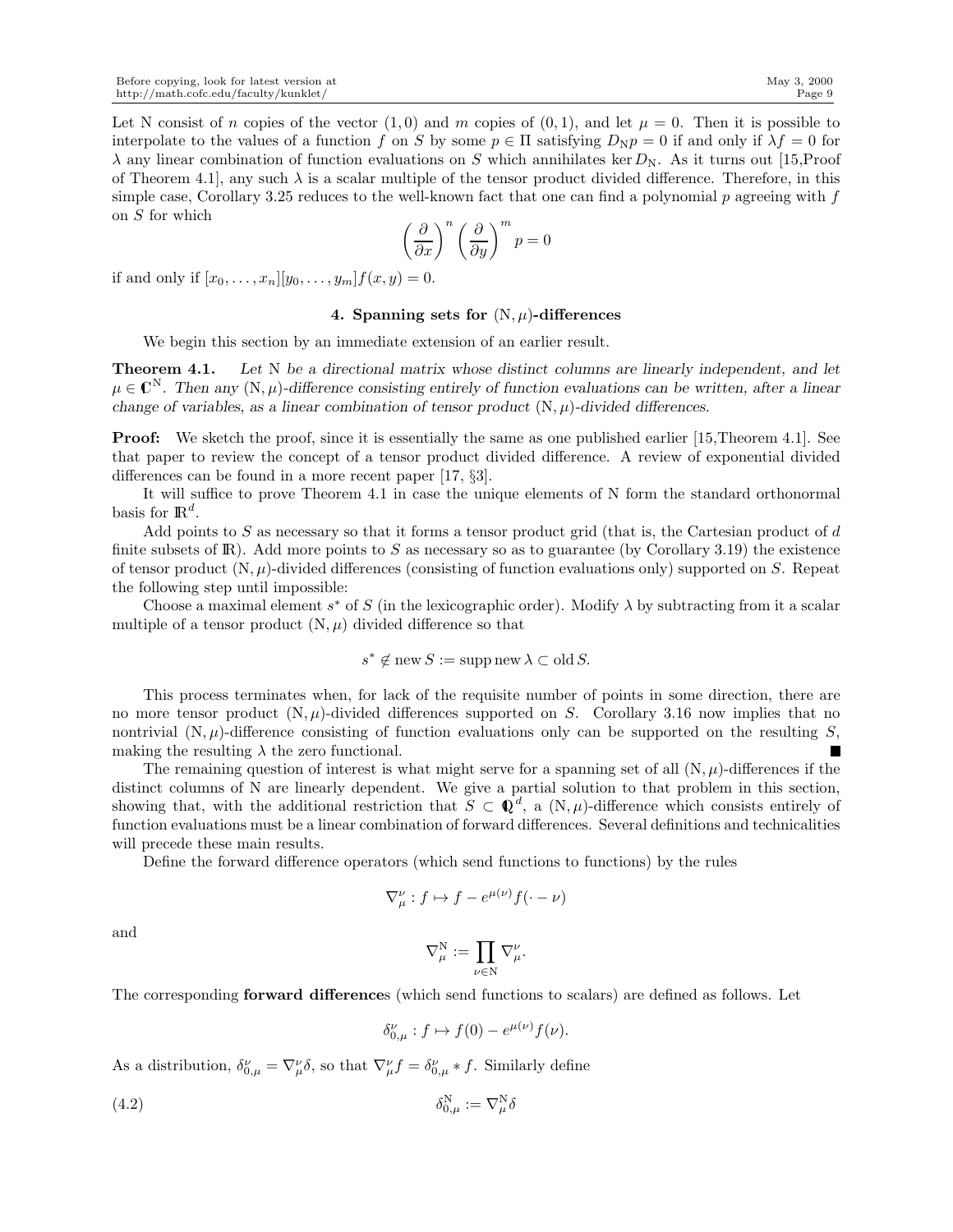Let N consist of n copies of the vector  $(1, 0)$  and m copies of  $(0, 1)$ , and let  $\mu = 0$ . Then it is possible to interpolate to the values of a function f on S by some  $p \in \Pi$  satisfying  $D_N p = 0$  if and only if  $\lambda f = 0$  for  $\lambda$  any linear combination of function evaluations on S which annihilates ker  $D_N$ . As it turns out [15,Proof of Theorem 4.1, any such  $\lambda$  is a scalar multiple of the tensor product divided difference. Therefore, in this simple case, Corollary 3.25 reduces to the well-known fact that one can find a polynomial  $p$  agreeing with  $f$ on S for which

$$
\left(\frac{\partial}{\partial x}\right)^n \left(\frac{\partial}{\partial y}\right)^m p = 0
$$

if and only if  $[x_0, ..., x_n][y_0, ..., y_m]$   $f(x, y) = 0$ .

## 4. Spanning sets for  $(N, \mu)$ -differences

We begin this section by an immediate extension of an earlier result.

Theorem 4.1. *Let* N *be a directional matrix whose distinct columns are linearly independent, and let*  $\mu \in \mathbb{C}^N$ . Then any  $(N, \mu)$ -difference consisting entirely of function evaluations can be written, after a linear *change of variables, as a linear combination of tensor product*  $(N, \mu)$ *-divided differences.* 

**Proof:** We sketch the proof, since it is essentially the same as one published earlier [15, Theorem 4.1]. See that paper to review the concept of a tensor product divided difference. A review of exponential divided differences can be found in a more recent paper [17, §3].

It will suffice to prove Theorem 4.1 in case the unique elements of N form the standard orthonormal basis for  $\mathbb{R}^d$ .

Add points to  $S$  as necessary so that it forms a tensor product grid (that is, the Cartesian product of  $d$ finite subsets of R). Add more points to S as necessary so as to guarantee (by Corollary 3.19) the existence of tensor product  $(N, \mu)$ -divided differences (consisting of function evaluations only) supported on S. Repeat the following step until impossible:

Choose a maximal element  $s^*$  of S (in the lexicographic order). Modify  $\lambda$  by subtracting from it a scalar multiple of a tensor product  $(N, \mu)$  divided difference so that

$$
s^* \notin \text{new } S := \text{supp new } \lambda \subset \text{old } S.
$$

This process terminates when, for lack of the requisite number of points in some direction, there are no more tensor product  $(N, \mu)$ -divided differences supported on S. Corollary 3.16 now implies that no nontrivial  $(N, \mu)$ -difference consisting of function evaluations only can be supported on the resulting S, making the resulting  $\lambda$  the zero functional.

The remaining question of interest is what might serve for a spanning set of all  $(N, \mu)$ -differences if the distinct columns of N are linearly dependent. We give a partial solution to that problem in this section, showing that, with the additional restriction that  $S \subset \mathbb{Q}^d$ , a  $(N, \mu)$ -difference which consists entirely of function evaluations must be a linear combination of forward differences. Several definitions and technicalities will precede these main results.

Define the forward difference operators (which send functions to functions) by the rules

$$
\nabla^{\nu}_{\mu} : f \mapsto f - e^{\mu(\nu)} f(\cdot - \nu)
$$

and

$$
\nabla^{\rm N}_\mu:=\prod_{\nu\in{\rm N}}\nabla^\nu_\mu.
$$

The corresponding forward differences (which send functions to scalars) are defined as follows. Let

$$
\delta_{0,\mu}^{\nu}: f \mapsto f(0) - e^{\mu(\nu)} f(\nu).
$$

As a distribution,  $\delta_{0,\mu}^{\nu} = \nabla_{\mu}^{\nu} \delta$ , so that  $\nabla_{\mu}^{\nu} f = \delta_{0,\mu}^{\nu} * f$ . Similarly define

$$
\delta_{0,\mu}^N := \nabla_{\mu}^N \delta
$$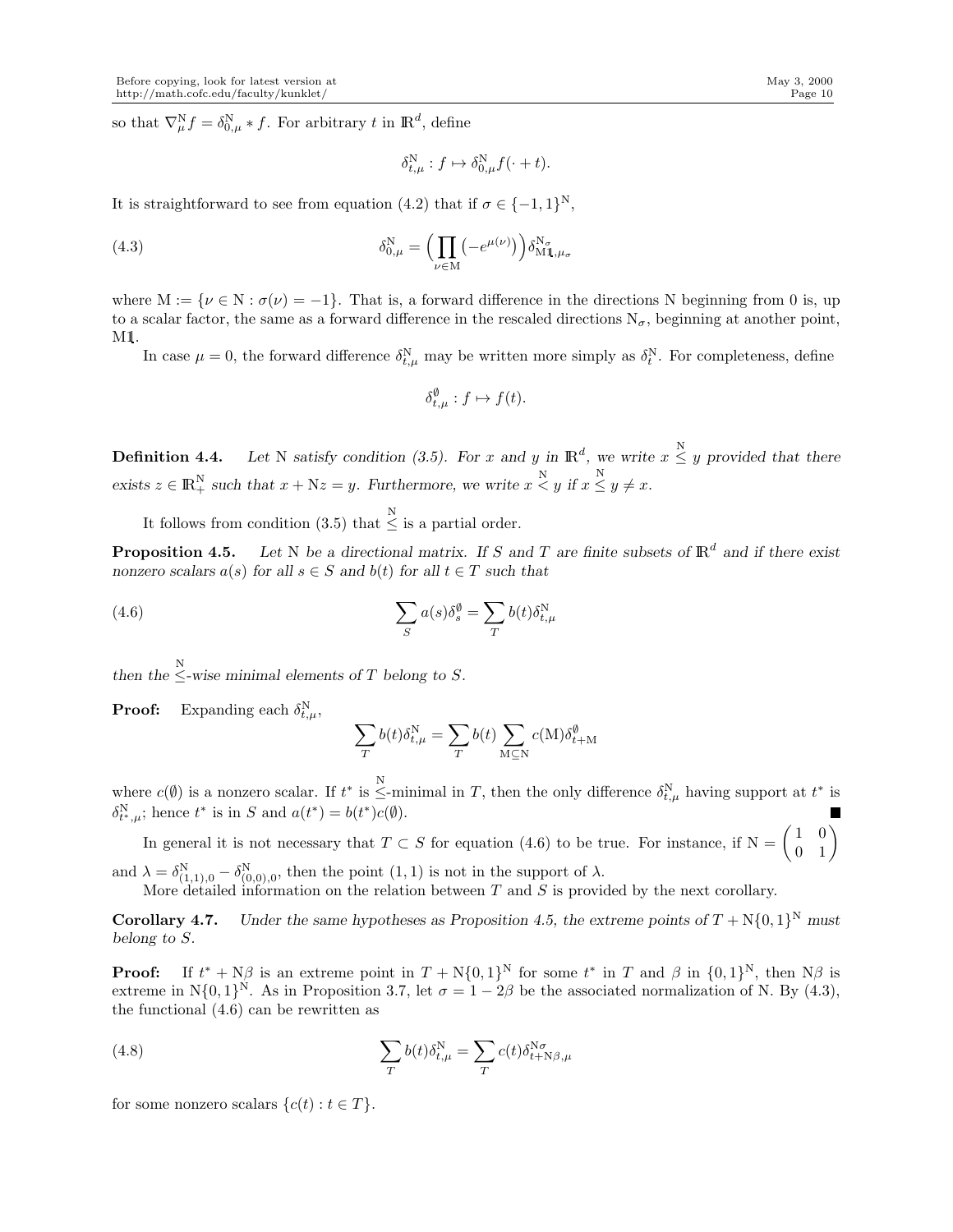so that  $\nabla_{\mu}^{\mathbf{N}} f = \delta_{0,\mu}^{\mathbf{N}} * f$ . For arbitrary t in  $\mathbb{R}^d$ , define

$$
\delta_{t,\mu}^{\rm N}:f\mapsto \delta_{0,\mu}^{\rm N}f(\cdot+t).
$$

It is straightforward to see from equation (4.2) that if  $\sigma \in \{-1,1\}^N$ ,

(4.3) 
$$
\delta_{0,\mu}^N = \left(\prod_{\nu \in M} \left(-e^{\mu(\nu)}\right)\right) \delta_{M1,\mu_\sigma}^{N_\sigma}
$$

where  $M := \{ \nu \in N : \sigma(\nu) = -1 \}.$  That is, a forward difference in the directions N beginning from 0 is, up to a scalar factor, the same as a forward difference in the rescaled directions  $N_{\sigma}$ , beginning at another point, M1.

In case  $\mu = 0$ , the forward difference  $\delta_{t,\mu}^{\text{N}}$  may be written more simply as  $\delta_t^{\text{N}}$ . For completeness, define

$$
\delta_{t,\mu}^{\emptyset}: f \mapsto f(t).
$$

**Definition 4.4.** Let N satisfy condition (3.5). For x and y in  $\mathbb{R}^d$ , we write  $x \leq y$  provided that there  $\text{exists } z \in \mathbb{R}_+^N \text{ such that } x + \mathbb{N}z = y. \text{ Furthermore, we write } x \overset{\text{N}}{\lt} y \text{ if } x \overset{\text{N}}{\leq} y \neq x.$ 

It follows from condition (3.5) that  $\leq$  is a partial order.

**Proposition 4.5.** Let N be a directional matrix. If S and T are finite subsets of  $\mathbb{R}^d$  and if there exist *nonzero scalars*  $a(s)$  *for all*  $s \in S$  *and*  $b(t)$  *for all*  $t \in T$  *such that* 

(4.6) 
$$
\sum_{S} a(s) \delta_s^{\emptyset} = \sum_{T} b(t) \delta_{t,\mu}^N
$$

then the  $\leq$ -wise minimal elements of  $T$  belong to  $S$ .

**Proof:** Expanding each  $\delta_{t,\mu}^{\text{N}}$ ,

$$
\sum_{T} b(t) \delta_{t,\mu}^{\rm N} = \sum_{T} b(t) \sum_{\mathbf{M} \subseteq \mathbf{N}} c(\mathbf{M}) \delta_{t+\mathbf{M}}^{\emptyset}
$$

where  $c(\emptyset)$  is a nonzero scalar. If  $t^*$  is  $\leq$ -minimal in T, then the only difference  $\delta_{t,\mu}^N$  having support at  $t^*$  is  $\delta_{t^*,\mu}^N$ ; hence  $t^*$  is in S and  $a(t^*) = b(t^*)c(\emptyset)$ .

In general it is not necessary that  $T \subset S$  for equation (4.6) to be true. For instance, if  $N = \begin{pmatrix} 1 & 0 \\ 0 & 1 \end{pmatrix}$ 

and  $\lambda = \delta^N_{(1,1),0} - \delta^N_{(0,0),0}$ , then the point  $(1,1)$  is not in the support of  $\lambda$ . More detailed information on the relation between  $T$  and  $S$  is provided by the next corollary.

**Corollary 4.7.** *Under the same hypotheses as Proposition 4.5, the extreme points of*  $T + N\{0, 1\}^N$  *must belong to* S*.*

**Proof:** If  $t^* + N\beta$  is an extreme point in  $T + N\{0, 1\}^N$  for some  $t^*$  in T and  $\beta$  in  $\{0, 1\}^N$ , then  $N\beta$  is extreme in N $\{0,1\}^N$ . As in Proposition 3.7, let  $\sigma = 1 - 2\beta$  be the associated normalization of N. By (4.3), the functional (4.6) can be rewritten as

(4.8) 
$$
\sum_{T} b(t) \delta_{t,\mu}^{\mathcal{N}} = \sum_{T} c(t) \delta_{t+\mathcal{N}\beta,\mu}^{\mathcal{N}\sigma}
$$

for some nonzero scalars  $\{c(t): t \in T\}.$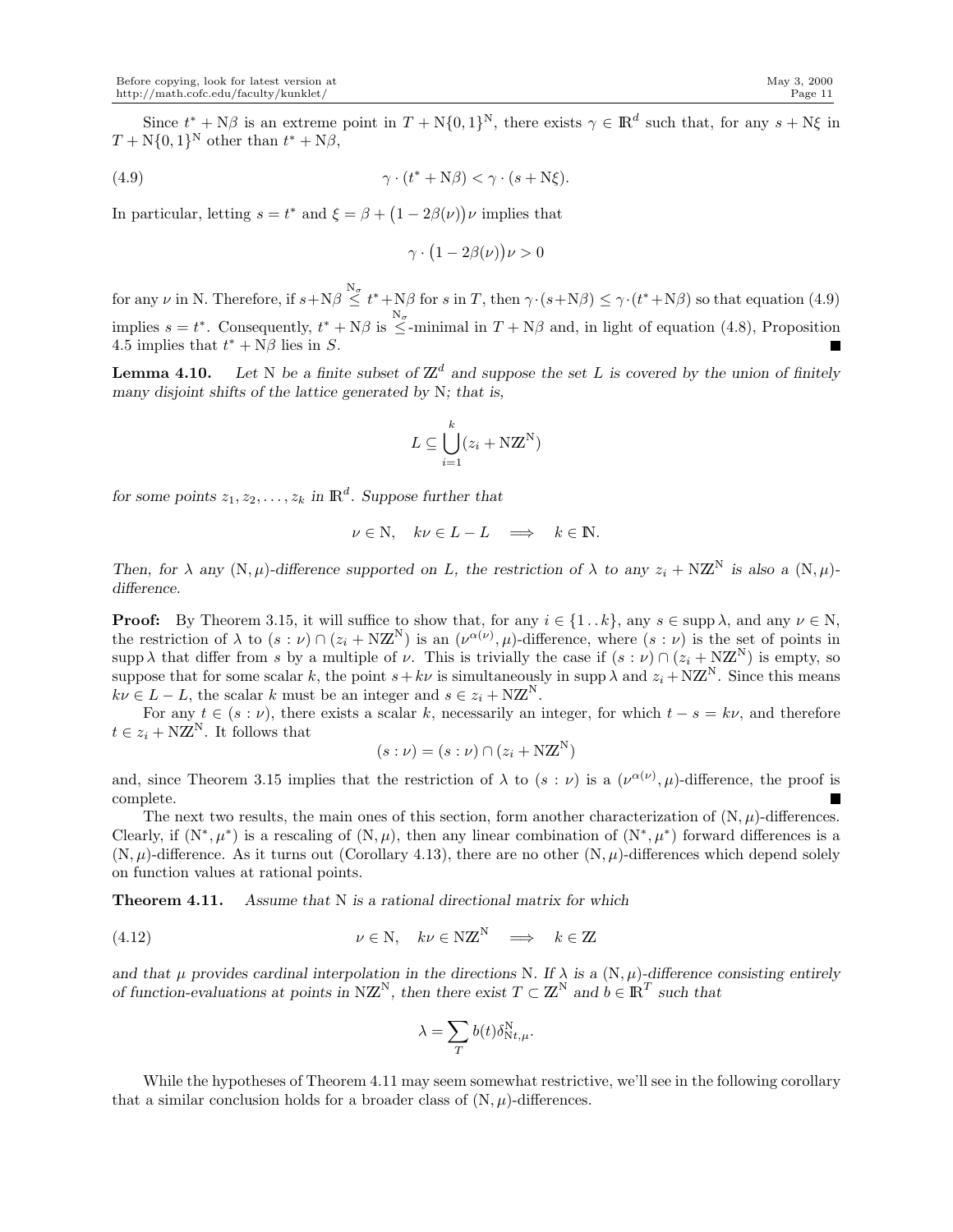Since  $t^* + N\beta$  is an extreme point in  $T + N\{0,1\}^N$ , there exists  $\gamma \in \mathbb{R}^d$  such that, for any  $s + N\xi$  in  $T + N{0, 1}^N$  other than  $t^* + N\beta$ ,

(4.9) 
$$
\gamma \cdot (t^* + N\beta) < \gamma \cdot (s + N\xi).
$$

In particular, letting  $s = t^*$  and  $\xi = \beta + (1 - 2\beta(\nu))\nu$  implies that

$$
\gamma \cdot (1 - 2\beta(\nu))\nu > 0
$$

for any  $\nu$  in N. Therefore, if  $s + N\beta \le t^* + N\beta$  for  $s$  in T, then  $\gamma \cdot (s + N\beta) \le \gamma \cdot (t^* + N\beta)$  so that equation (4.9) implies  $s = t^*$ . Consequently,  $t^* + N\beta$  is  $\leq$ -minimal in  $T + N\beta$  and, in light of equation (4.8), Proposition 4.5 implies that  $t^* + N\beta$  lies in S.

**Lemma 4.10.** Let N be a finite subset of  $\mathbb{Z}^d$  and suppose the set L is covered by the union of finitely *many disjoint shifts of the lattice generated by* N*; that is,*

$$
L \subseteq \bigcup_{i=1}^{k} (z_i + \mathbf{N} \mathbf{Z}^{\mathbf{N}})
$$

for some points  $z_1, z_2, \ldots, z_k$  in  $\mathbb{R}^d$ . Suppose further that

$$
\nu \in \mathcal{N}, \quad k\nu \in L - L \quad \Longrightarrow \quad k \in \mathbb{N}.
$$

*Then, for*  $\lambda$  *any* (N,  $\mu$ )-difference supported on L, the restriction of  $\lambda$  to any  $z_i + NZ^N$  *is also a* (N,  $\mu$ )*difference.*

**Proof:** By Theorem 3.15, it will suffice to show that, for any  $i \in \{1..k\}$ , any  $s \in \text{supp }\lambda$ , and any  $\nu \in \mathbb{N}$ , the restriction of  $\lambda$  to  $(s:\nu) \cap (z_i + NZ^N)$  is an  $(\nu^{\alpha(\nu)}, \mu)$ -difference, where  $(s:\nu)$  is the set of points in supp  $\lambda$  that differ from s by a multiple of  $\nu$ . This is trivially the case if  $(s : \nu) \cap (z_i + NZ^N)$  is empty, so suppose that for some scalar k, the point  $s+k\nu$  is simultaneously in supp  $\lambda$  and  $z_i + N\mathbb{Z}^N$ . Since this means  $k\nu \in L - L$ , the scalar k must be an integer and  $s \in z_i + N\mathbb{Z}^N$ .

For any  $t \in (s : \nu)$ , there exists a scalar k, necessarily an integer, for which  $t - s = k\nu$ , and therefore  $t \in z_i + NZ^N$ . It follows that

$$
(s:\nu) = (s:\nu) \cap (z_i + \mathbf{NZ}^{\mathbf{N}})
$$

and, since Theorem 3.15 implies that the restriction of  $\lambda$  to  $(s:\nu)$  is a  $(\nu^{\alpha(\nu)}, \mu)$ -difference, the proof is complete.

The next two results, the main ones of this section, form another characterization of  $(N, \mu)$ -differences. Clearly, if  $(N^*, \mu^*)$  is a rescaling of  $(N, \mu)$ , then any linear combination of  $(N^*, \mu^*)$  forward differences is a  $(N, \mu)$ -difference. As it turns out (Corollary 4.13), there are no other  $(N, \mu)$ -differences which depend solely on function values at rational points.

Theorem 4.11. *Assume that* N *is a rational directional matrix for which*

(4.12) 
$$
\nu \in \mathbb{N}, \quad k\nu \in \mathbb{N}\mathbb{Z}^{\mathbb{N}} \implies k \in \mathbb{Z}
$$

*and that*  $\mu$  provides cardinal interpolation in the directions N. If  $\lambda$  is a  $(N, \mu)$ -difference consisting entirely *of function-evaluations at points in*  $N\mathbb{Z}^N$ , then there exist  $T \subset \mathbb{Z}^N$  and  $b \in \mathbb{R}^T$  such that

$$
\lambda = \sum_T b(t) \delta_{\mathrm{N}t,\mu}^\mathrm{N}.
$$

While the hypotheses of Theorem 4.11 may seem somewhat restrictive, we'll see in the following corollary that a similar conclusion holds for a broader class of  $(N, \mu)$ -differences.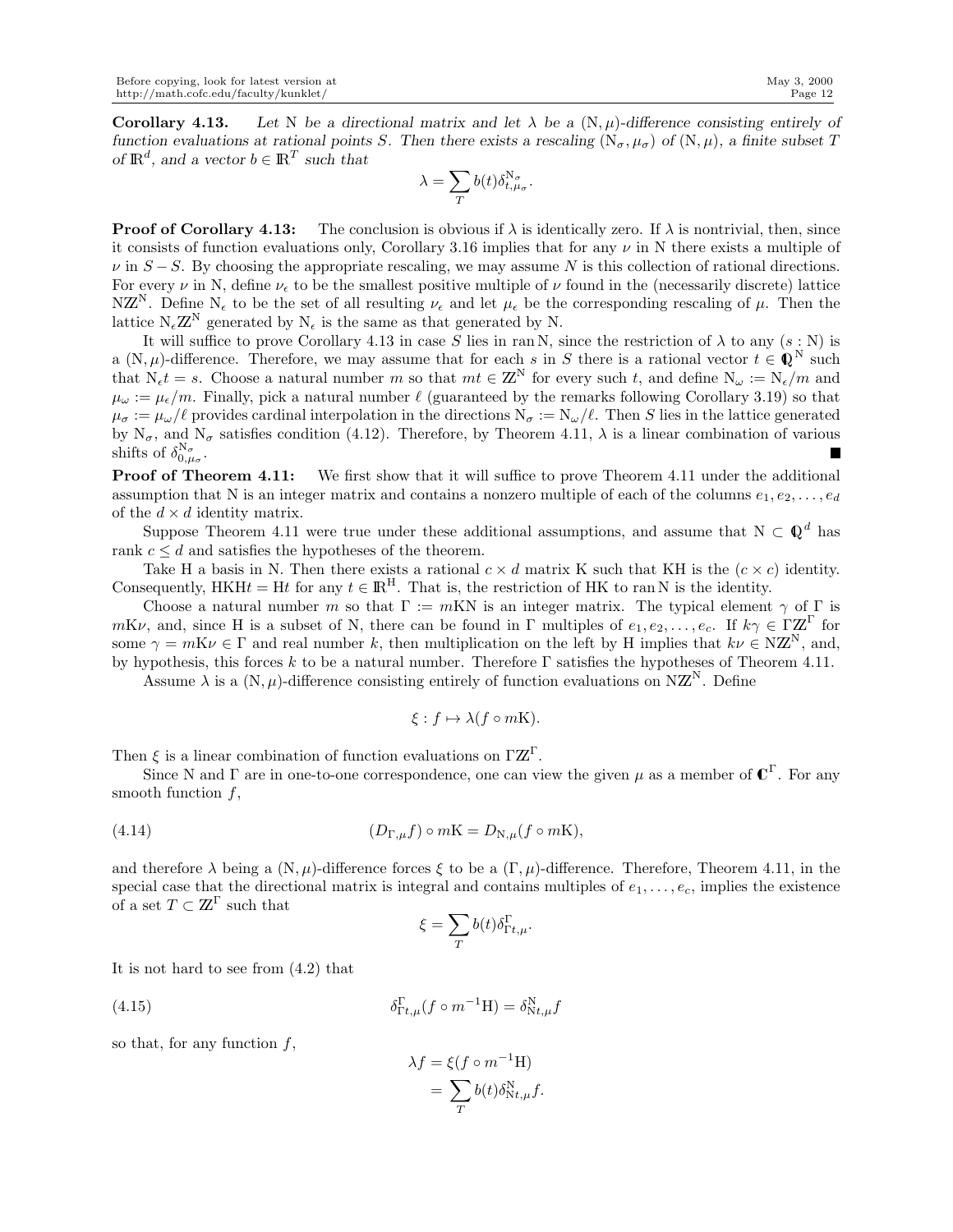**Corollary 4.13.** Let N be a directional matrix and let  $\lambda$  be a  $(N, \mu)$ -difference consisting entirely of *function evaluations at rational points* S. Then there exists a rescaling  $(N_{\sigma}, \mu_{\sigma})$  of  $(N, \mu)$ , a finite subset T *of*  $\mathbb{R}^d$ , and a vector  $b \in \mathbb{R}^T$  such that

$$
\lambda=\sum_{T}b(t)\delta_{t,\mu_\sigma}^{\mathbf{N}_\sigma}.
$$

**Proof of Corollary 4.13:** The conclusion is obvious if  $\lambda$  is identically zero. If  $\lambda$  is nontrivial, then, since it consists of function evaluations only, Corollary 3.16 implies that for any  $\nu$  in N there exists a multiple of  $\nu$  in  $S-S$ . By choosing the appropriate rescaling, we may assume N is this collection of rational directions. For every  $\nu$  in N, define  $\nu_{\epsilon}$  to be the smallest positive multiple of  $\nu$  found in the (necessarily discrete) lattice NZ<sup>N</sup>. Define N<sub>ε</sub> to be the set of all resulting  $\nu_{\epsilon}$  and let  $\mu_{\epsilon}$  be the corresponding rescaling of  $\mu$ . Then the lattice  $N_{\epsilon}\mathbb{Z}^{N}$  generated by  $N_{\epsilon}$  is the same as that generated by N.

It will suffice to prove Corollary 4.13 in case S lies in ran N, since the restriction of  $\lambda$  to any  $(s : N)$  is a  $(N, \mu)$ -difference. Therefore, we may assume that for each s in S there is a rational vector  $t \in \mathbb{Q}^N$  such that  $N_{\epsilon}t = s$ . Choose a natural number m so that  $mt \in \mathbb{Z}^{N}$  for every such t, and define  $N_{\omega} := N_{\epsilon}/m$  and  $\mu_{\omega} := \mu_{\epsilon}/m$ . Finally, pick a natural number  $\ell$  (guaranteed by the remarks following Corollary 3.19) so that  $\mu_{\sigma} := \mu_{\omega}/\ell$  provides cardinal interpolation in the directions  $N_{\sigma} := N_{\omega}/\ell$ . Then S lies in the lattice generated by  $N_{\sigma}$ , and  $N_{\sigma}$  satisfies condition (4.12). Therefore, by Theorem 4.11,  $\lambda$  is a linear combination of various shifts of  $\delta_{0,\mu_{\sigma}}^{\mathcal{N}_{\sigma}}$ .

**Proof of Theorem 4.11:** We first show that it will suffice to prove Theorem 4.11 under the additional assumption that N is an integer matrix and contains a nonzero multiple of each of the columns  $e_1, e_2, \ldots, e_d$ of the  $d \times d$  identity matrix.

Suppose Theorem 4.11 were true under these additional assumptions, and assume that  $N \subset \mathbb{Q}^d$  has rank  $c \leq d$  and satisfies the hypotheses of the theorem.

Take H a basis in N. Then there exists a rational  $c \times d$  matrix K such that KH is the  $(c \times c)$  identity. Consequently,  $HKHt = Ht$  for any  $t \in \mathbb{R}^H$ . That is, the restriction of HK to ran N is the identity.

Choose a natural number m so that  $\Gamma := mKN$  is an integer matrix. The typical element  $\gamma$  of  $\Gamma$  is  $mK\nu$ , and, since H is a subset of N, there can be found in  $\Gamma$  multiples of  $e_1, e_2, \ldots, e_c$ . If  $k\gamma \in \Gamma \mathbb{Z}^{\Gamma}$  for some  $\gamma = mK\nu \in \Gamma$  and real number k, then multiplication on the left by H implies that  $k\nu \in NZ^N$ , and, by hypothesis, this forces k to be a natural number. Therefore  $\Gamma$  satisfies the hypotheses of Theorem 4.11.

Assume  $\lambda$  is a  $(N, \mu)$ -difference consisting entirely of function evaluations on NZ<sup>N</sup>. Define

$$
\xi: f \mapsto \lambda(f \circ mK).
$$

Then  $\xi$  is a linear combination of function evaluations on  $\Gamma \mathbb{Z}^{\Gamma}$ .

Since N and  $\Gamma$  are in one-to-one correspondence, one can view the given  $\mu$  as a member of  $\mathbb{C}^{\Gamma}$ . For any smooth function  $f$ ,

(4.14) 
$$
(D_{\Gamma,\mu}f)\circ m\mathbf{K}=D_{\mathbf{N},\mu}(f\circ m\mathbf{K}),
$$

and therefore  $\lambda$  being a  $(N, \mu)$ -difference forces  $\xi$  to be a  $(\Gamma, \mu)$ -difference. Theorem 4.11, in the special case that the directional matrix is integral and contains multiples of  $e_1, \ldots, e_c$ , implies the existence of a set  $T \subset \mathbb{Z}^{\Gamma}$  such that

$$
\xi=\sum_{T}b(t)\delta_{\Gamma t,\mu}^{\Gamma}.
$$

It is not hard to see from (4.2) that

(4.15) 
$$
\delta_{\Gamma t,\mu}^{\Gamma}(f \circ m^{-1} \mathcal{H}) = \delta_{\mathrm{N}t,\mu}^{\mathrm{N}} f
$$

so that, for any function  $f$ ,

$$
\lambda f = \xi(f \circ m^{-1}H)
$$
  
= 
$$
\sum_{T} b(t) \delta_{Nt,\mu}^{N} f.
$$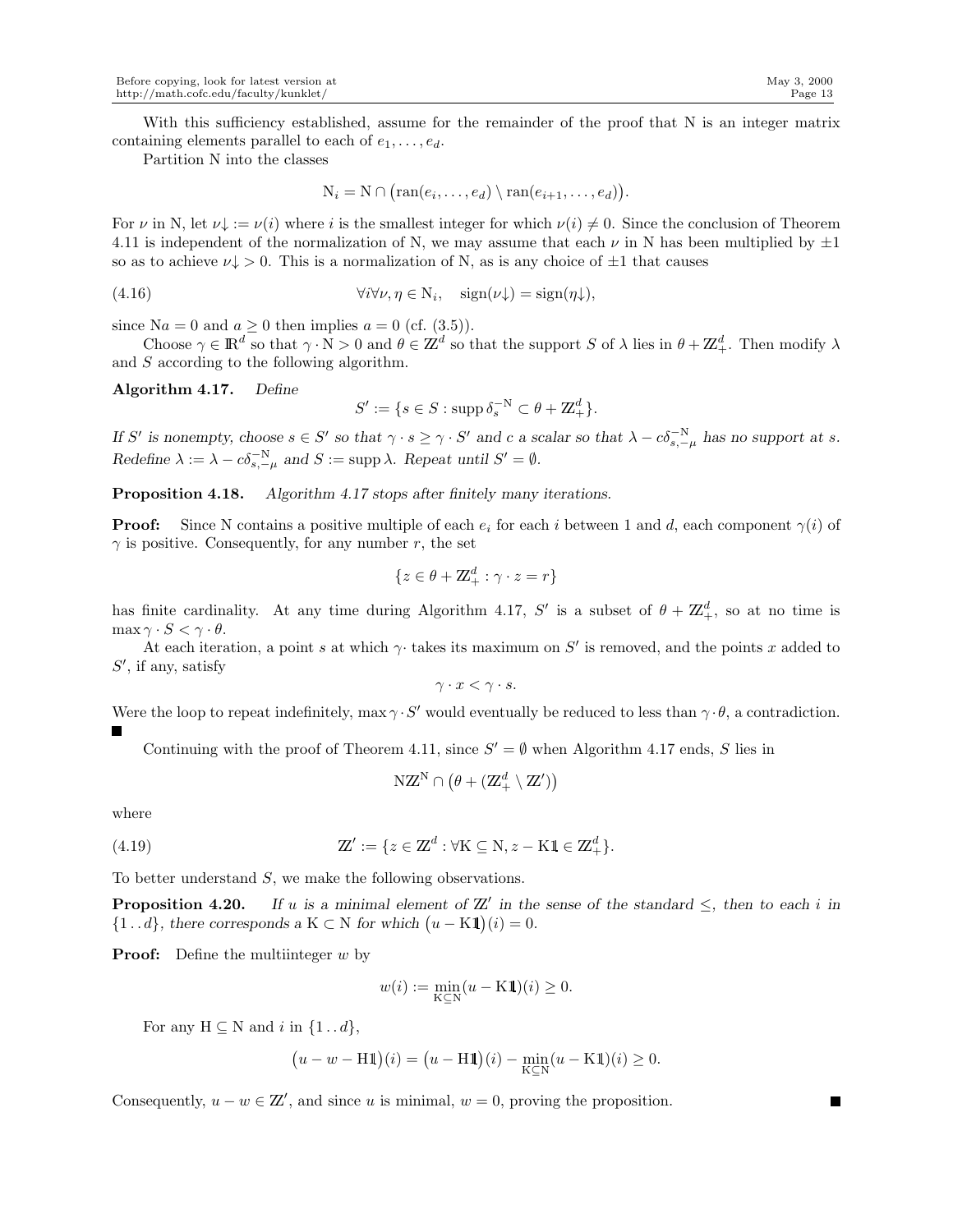With this sufficiency established, assume for the remainder of the proof that N is an integer matrix containing elements parallel to each of  $e_1, \ldots, e_d$ .

Partition N into the classes

$$
N_i = N \cap (ran(e_i, ..., e_d) \setminus ran(e_{i+1}, ..., e_d)).
$$

For  $\nu$  in N, let  $\nu\downarrow := \nu(i)$  where i is the smallest integer for which  $\nu(i) \neq 0$ . Since the conclusion of Theorem 4.11 is independent of the normalization of N, we may assume that each  $\nu$  in N has been multiplied by  $\pm 1$ so as to achieve  $\nu \downarrow > 0$ . This is a normalization of N, as is any choice of  $\pm 1$  that causes

(4.16) 
$$
\forall i \forall \nu, \eta \in N_i, \quad \text{sign}(\nu \downarrow) = \text{sign}(\eta \downarrow),
$$

since Na = 0 and  $a \ge 0$  then implies  $a = 0$  (cf. (3.5)).

Choose  $\gamma \in \mathbb{R}^d$  so that  $\gamma \cdot N > 0$  and  $\theta \in \mathbb{Z}^d$  so that the support S of  $\lambda$  lies in  $\theta + \mathbb{Z}_+^d$ . Then modify  $\lambda$ and S according to the following algorithm.

Algorithm 4.17. *Define*

$$
S' := \{ s \in S : \operatorname{supp} \delta_s^{-N} \subset \theta + \mathbb{Z}_+^d \}.
$$

*If* S' is nonempty, choose  $s \in S'$  so that  $\gamma \cdot s \geq \gamma \cdot S'$  and c a scalar so that  $\lambda - c\delta_{s,-\mu}^{-N}$  has no support at s. *Redefine*  $\lambda := \lambda - c \delta_{s, -\mu}^{-N}$  and  $S := \text{supp }\lambda$ . Repeat until  $S' = \emptyset$ .

Proposition 4.18. *Algorithm 4.17 stops after finitely many iterations.*

**Proof:** Since N contains a positive multiple of each  $e_i$  for each i between 1 and d, each component  $\gamma(i)$  of  $\gamma$  is positive. Consequently, for any number r, the set

$$
\{z \in \theta + \mathbb{Z}_+^d : \gamma \cdot z = r\}
$$

has finite cardinality. At any time during Algorithm 4.17, S' is a subset of  $\theta + \mathbb{Z}_+^d$ , so at no time is  $\max \gamma \cdot S < \gamma \cdot \theta$ .

At each iteration, a point s at which  $\gamma$  takes its maximum on S' is removed, and the points x added to  $S'$ , if any, satisfy

$$
\gamma \cdot x < \gamma \cdot s.
$$

Were the loop to repeat indefinitely,  $\max \gamma \cdot S'$  would eventually be reduced to less than  $\gamma \cdot \theta$ , a contradiction.

Continuing with the proof of Theorem 4.11, since  $S' = \emptyset$  when Algorithm 4.17 ends, S lies in

$$
NZ^N\cap \left(\theta+(Z_+^d\setminus Z')\right)
$$

where

(4.19) 
$$
\mathbb{Z}' := \{ z \in \mathbb{Z}^d : \forall K \subseteq N, z - K\mathbf{1} \in \mathbb{Z}_+^d \}.
$$

To better understand S, we make the following observations.

**Proposition 4.20.** If u is a minimal element of  $\mathbb{Z}'$  in the sense of the standard  $\leq$ , then to each i in  $\{1 \dots d\}$ , there corresponds a K  $\subset N$  for which  $(u - K1)(i) = 0$ .

**Proof:** Define the multiinteger  $w$  by

$$
w(i) := \min_{\mathbf{K} \subseteq \mathbf{N}} (u - \mathbf{K} \mathbf{1})(i) \ge 0.
$$

For any  $H \subseteq N$  and i in  $\{1 \dots d\}$ ,

$$
(u - w - H1)(i) = (u - H1)(i) - \min_{K \subseteq N} (u - K1)(i) \ge 0.
$$

Consequently,  $u - w \in \mathbb{Z}'$ , and since u is minimal,  $w = 0$ , proving the proposition.

П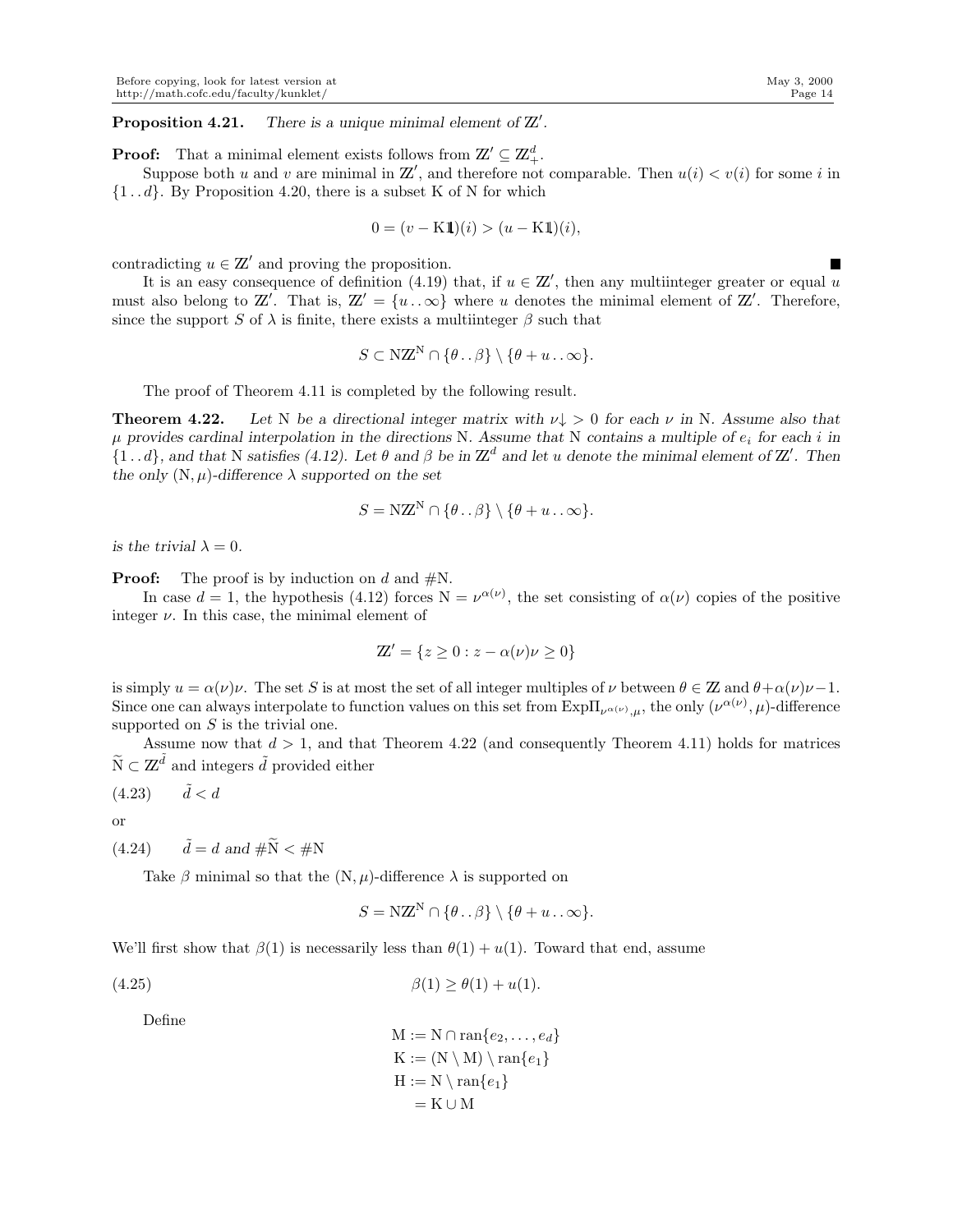**Proposition 4.21.** There is a unique minimal element of  $\mathbb{Z}'$ .

**Proof:** That a minimal element exists follows from  $\mathbb{Z}' \subseteq \mathbb{Z}_+^d$ .

Suppose both u and v are minimal in  $\mathbb{Z}'$ , and therefore not comparable. Then  $u(i) < v(i)$  for some i in  $\{1 \dots d\}$ . By Proposition 4.20, there is a subset K of N for which

$$
0 = (v - K1)(i) > (u - K1)(i),
$$

contradicting  $u \in \mathbb{Z}'$  and proving the proposition.

It is an easy consequence of definition (4.19) that, if  $u \in \mathbb{Z}'$ , then any multiinteger greater or equal u must also belong to  $\mathbb{Z}'$ . That is,  $\mathbb{Z}' = \{u \dots \infty\}$  where u denotes the minimal element of  $\mathbb{Z}'$ . Therefore, since the support S of  $\lambda$  is finite, there exists a multiinteger  $\beta$  such that

$$
S \subset \mathbf{NZ}^{\mathbf{N}} \cap \{\theta \dots \beta\} \setminus \{\theta + u \dots \infty\}.
$$

The proof of Theorem 4.11 is completed by the following result.

**Theorem 4.22.** Let N be a directional integer matrix with  $\nu \downarrow > 0$  for each  $\nu$  in N. Assume also that  $\mu$  provides cardinal interpolation in the directions N. Assume that N contains a multiple of  $e_i$  for each i in  $\{1...d\}$ , and that N satisfies (4.12). Let  $\theta$  and  $\beta$  be in  $\mathbb{Z}^d$  and let u denote the minimal element of  $\mathbb{Z}'$ . Then *the only*  $(N, \mu)$ *-difference*  $\lambda$  *supported on the set* 

$$
S = \mathbf{NZ}^{\mathbf{N}} \cap \{\theta \dots \beta\} \setminus \{\theta + u \dots \infty\}.
$$

*is the trivial*  $\lambda = 0$ *.* 

**Proof:** The proof is by induction on d and  $\#N$ .

In case  $d = 1$ , the hypothesis (4.12) forces  $N = \nu^{\alpha(\nu)}$ , the set consisting of  $\alpha(\nu)$  copies of the positive integer  $\nu$ . In this case, the minimal element of

$$
\mathbb{Z}' = \{ z \ge 0 : z - \alpha(\nu)\nu \ge 0 \}
$$

is simply  $u = \alpha(\nu)\nu$ . The set S is at most the set of all integer multiples of  $\nu$  between  $\theta \in \mathbb{Z}$  and  $\theta + \alpha(\nu)\nu - 1$ . Since one can always interpolate to function values on this set from  $\mathrm{Exp}\Pi_{\nu^{\alpha(\nu)},\mu}$ , the only  $(\nu^{\alpha(\nu)},\mu)$ -difference supported on  $S$  is the trivial one.

Assume now that  $d > 1$ , and that Theorem 4.22 (and consequently Theorem 4.11) holds for matrices  $\widetilde{\mathcal{N}} \subset \mathbf{Z}^{\widetilde{d}}$  and integers  $\widetilde{d}$  provided either

$$
(4.23) \qquad \tilde{d} < d
$$

or

 $(4.24)$   $\tilde{d} = d$  and  $\tilde{d} = \tilde{d}$  and  $\tilde{d} = \tilde{N}$ 

Take  $\beta$  minimal so that the  $(N, \mu)$ -difference  $\lambda$  is supported on

$$
S = \mathbf{NZ}^{\mathbf{N}} \cap \{\theta \dots \beta\} \setminus \{\theta + u \dots \infty\}.
$$

We'll first show that  $\beta(1)$  is necessarily less than  $\theta(1) + u(1)$ . Toward that end, assume

(4.25) 
$$
\beta(1) \ge \theta(1) + u(1).
$$

Define

$$
M := N \cap \text{ran}\{e_2, \dots, e_d\}
$$
  
\n
$$
K := (N \setminus M) \setminus \text{ran}\{e_1\}
$$
  
\n
$$
H := N \setminus \text{ran}\{e_1\}
$$
  
\n
$$
= K \cup M
$$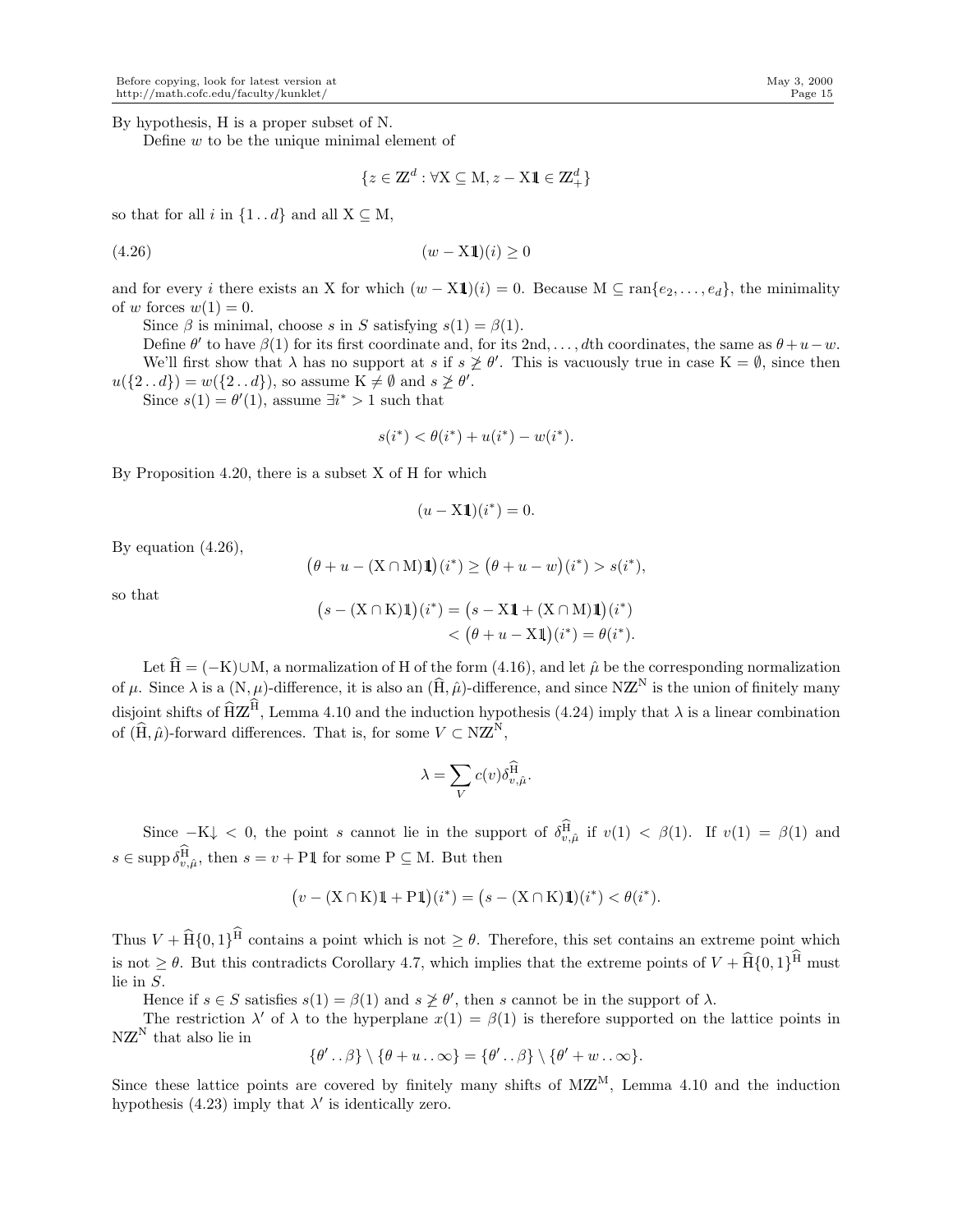By hypothesis, H is a proper subset of N.

Define  $w$  to be the unique minimal element of

$$
\{z\in\mathbb{Z}^d:\forall \mathbf{X}\subseteq\mathbf{M},z-\mathbf{X}\mathbbm{1}\in\mathbb{Z}_+^d\}
$$

so that for all i in  $\{1 \dots d\}$  and all  $X \subseteq M$ ,

$$
(4.26) \qquad \qquad (w - \mathbf{X1})(i) \ge 0
$$

and for every i there exists an X for which  $(w - \mathrm{X1})(i) = 0$ . Because  $M \subseteq \mathrm{ran}\{e_2, \ldots, e_d\}$ , the minimality of w forces  $w(1) = 0$ .

Since  $\beta$  is minimal, choose s in S satisfying  $s(1) = \beta(1)$ .

Define  $\theta'$  to have  $\beta(1)$  for its first coordinate and, for its 2nd, ..., dth coordinates, the same as  $\theta + u - w$ . We'll first show that  $\lambda$  has no support at s if  $s \not\geq \theta'$ . This is vacuously true in case  $K = \emptyset$ , since then  $u({2 \dots d}) = w({2 \dots d})$ , so assume  $K \neq \emptyset$  and  $s \not\geq \theta'$ .

Since  $s(1) = \theta'(1)$ , assume  $\exists i^* > 1$  such that

$$
s(i^*) < \theta(i^*) + u(i^*) - w(i^*).
$$

By Proposition 4.20, there is a subset X of H for which

$$
(u - \mathbf{X} \mathbf{1})(i^*) = 0.
$$

By equation (4.26),

$$
\big(\theta+u-(\mathbf{X}\cap \mathbf{M})\mathbbm{1}\big)(i^*)\geq \big(\theta+u-w\big)(i^*)>s(i^*),
$$

so that

$$
(s - (X \cap K)\mathbf{1})(i^*) = (s - X\mathbf{1} + (X \cap M)\mathbf{1})(i^*)
$$
  

$$
< (\theta + u - X\mathbf{1})(i^*) = \theta(i^*).
$$

Let  $\hat{H} = (-K) \cup M$ , a normalization of H of the form (4.16), and let  $\hat{\mu}$  be the corresponding normalization of  $\mu$ . Since  $\lambda$  is a  $(N, \mu)$ -difference, it is also an  $(\widehat{H}, \widehat{\mu})$ -difference, and since NZ<sup>N</sup> is the union of finitely many disjoint shifts of  $\widehat{H}Z^H$ , Lemma 4.10 and the induction hypothesis (4.24) imply that  $\lambda$  is a linear combination of  $(\widehat{H}, \widehat{\mu})$ -forward differences. That is, for some  $V \subset NZ^N$ ,

$$
\lambda = \sum_{V} c(v) \delta_{v,\hat{\mu}}^{\widehat{\mathrm{H}}}.
$$

Since  $-K\downarrow$  < 0, the point s cannot lie in the support of  $\delta_{v,\hat{\mu}}^{\text{H}}$  if  $v(1) < \beta(1)$ . If  $v(1) = \beta(1)$  and  $s \in \text{supp }\delta_{v,\hat{\mu}}^{\text{H}}$ , then  $s = v + \text{P1}$  for some  $P \subseteq M$ . But then

$$
(v - (X \cap K)\mathbb{1} + P\mathbb{1})(i^*) = (s - (X \cap K)\mathbb{1})(i^*) < \theta(i^*).
$$

Thus  $V + \hat{H} \{0, 1\}^H$  contains a point which is not  $\geq \theta$ . Therefore, this set contains an extreme point which is not  $\geq \theta$ . But this contradicts Corollary 4.7, which implies that the extreme points of  $V + \hat{H} \{0, 1\}^H$  must lie in S.

Hence if  $s \in S$  satisfies  $s(1) = \beta(1)$  and  $s \not\geq \theta'$ , then s cannot be in the support of  $\lambda$ .

The restriction  $\lambda'$  of  $\lambda$  to the hyperplane  $x(1) = \beta(1)$  is therefore supported on the lattice points in  $NZ^N$  that also lie in

$$
\{\theta' \dots \beta\} \setminus \{\theta + u \dots \infty\} = \{\theta' \dots \beta\} \setminus \{\theta' + w \dots \infty\}.
$$

Since these lattice points are covered by finitely many shifts of  $M\mathbb{Z}^M$ , Lemma 4.10 and the induction hypothesis (4.23) imply that  $\lambda'$  is identically zero.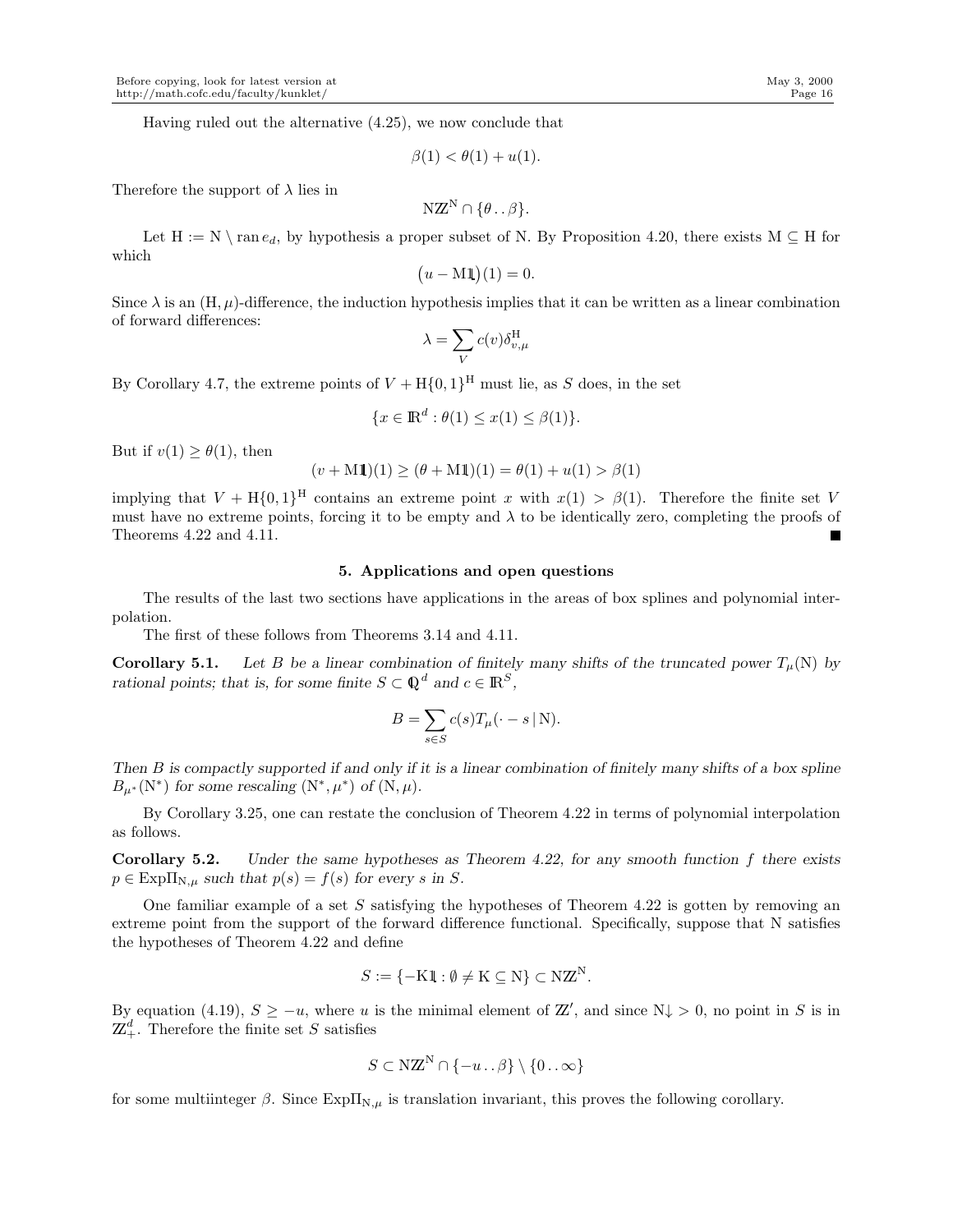Having ruled out the alternative (4.25), we now conclude that

$$
\beta(1) < \theta(1) + u(1).
$$

Therefore the support of  $\lambda$  lies in

$$
NZ^N \cap \{\theta \dots \beta\}.
$$

Let  $H := N \setminus \text{ran } e_d$ , by hypothesis a proper subset of N. By Proposition 4.20, there exists  $M \subseteq H$  for which

$$
(u - \mathbf{M1})(1) = 0.
$$

Since  $\lambda$  is an  $(H, \mu)$ -difference, the induction hypothesis implies that it can be written as a linear combination of forward differences:

$$
\lambda = \sum_{V} c(v) \delta_{v,\mu}^{\rm H}
$$

By Corollary 4.7, the extreme points of  $V + H\{0,1\}^H$  must lie, as S does, in the set

$$
\{x \in \mathbb{R}^d : \theta(1) \le x(1) \le \beta(1)\}.
$$

But if  $v(1) \geq \theta(1)$ , then

$$
(v + \mathbf{M}1)(1) \ge (\theta + \mathbf{M}1)(1) = \theta(1) + u(1) > \beta(1)
$$

implying that  $V + H\{0,1\}^H$  contains an extreme point x with  $x(1) > \beta(1)$ . Therefore the finite set V must have no extreme points, forcing it to be empty and  $\lambda$  to be identically zero, completing the proofs of Theorems 4.22 and 4.11.

## 5. Applications and open questions

The results of the last two sections have applications in the areas of box splines and polynomial interpolation.

The first of these follows from Theorems 3.14 and 4.11.

**Corollary 5.1.** Let B be a linear combination of finitely many shifts of the truncated power  $T_u(N)$  by *rational points; that is, for some finite*  $S \subset \mathbb{Q}^d$  and  $c \in \mathbb{R}^S$ ,

$$
B = \sum_{s \in S} c(s) T_{\mu}(\cdot - s \mid \mathbf{N}).
$$

*Then* B *is compactly supported if and only if it is a linear combination of finitely many shifts of a box spline*  $B_{\mu^*}(\mathbf{N}^*)$  for some rescaling  $(\mathbf{N}^*, \mu^*)$  of  $(\mathbf{N}, \mu)$ .

By Corollary 3.25, one can restate the conclusion of Theorem 4.22 in terms of polynomial interpolation as follows.

Corollary 5.2. *Under the same hypotheses as Theorem 4.22, for any smooth function* f *there exists*  $p \in \text{Exp}\Pi_{N,\mu}$  such that  $p(s) = f(s)$  for every s in S.

One familiar example of a set  $S$  satisfying the hypotheses of Theorem 4.22 is gotten by removing an extreme point from the support of the forward difference functional. Specifically, suppose that N satisfies the hypotheses of Theorem 4.22 and define

$$
S := \{-\mathrm{K}1\!1} : \emptyset \neq \mathrm{K} \subseteq \mathrm{N}\} \subset \mathrm{N}2\mathrm{N}.
$$

By equation (4.19),  $S \geq -u$ , where u is the minimal element of  $\mathbb{Z}'$ , and since  $N \downarrow > 0$ , no point in S is in  $\mathbb{Z}_+^d$ . Therefore the finite set S satisfies

$$
S \subset \mathbf{NZ}^{\mathbf{N}} \cap \{-u \dots \beta\} \setminus \{0 \dots \infty\}
$$

for some multiinteger  $\beta$ . Since  $\text{Exp}\Pi_{N,\mu}$  is translation invariant, this proves the following corollary.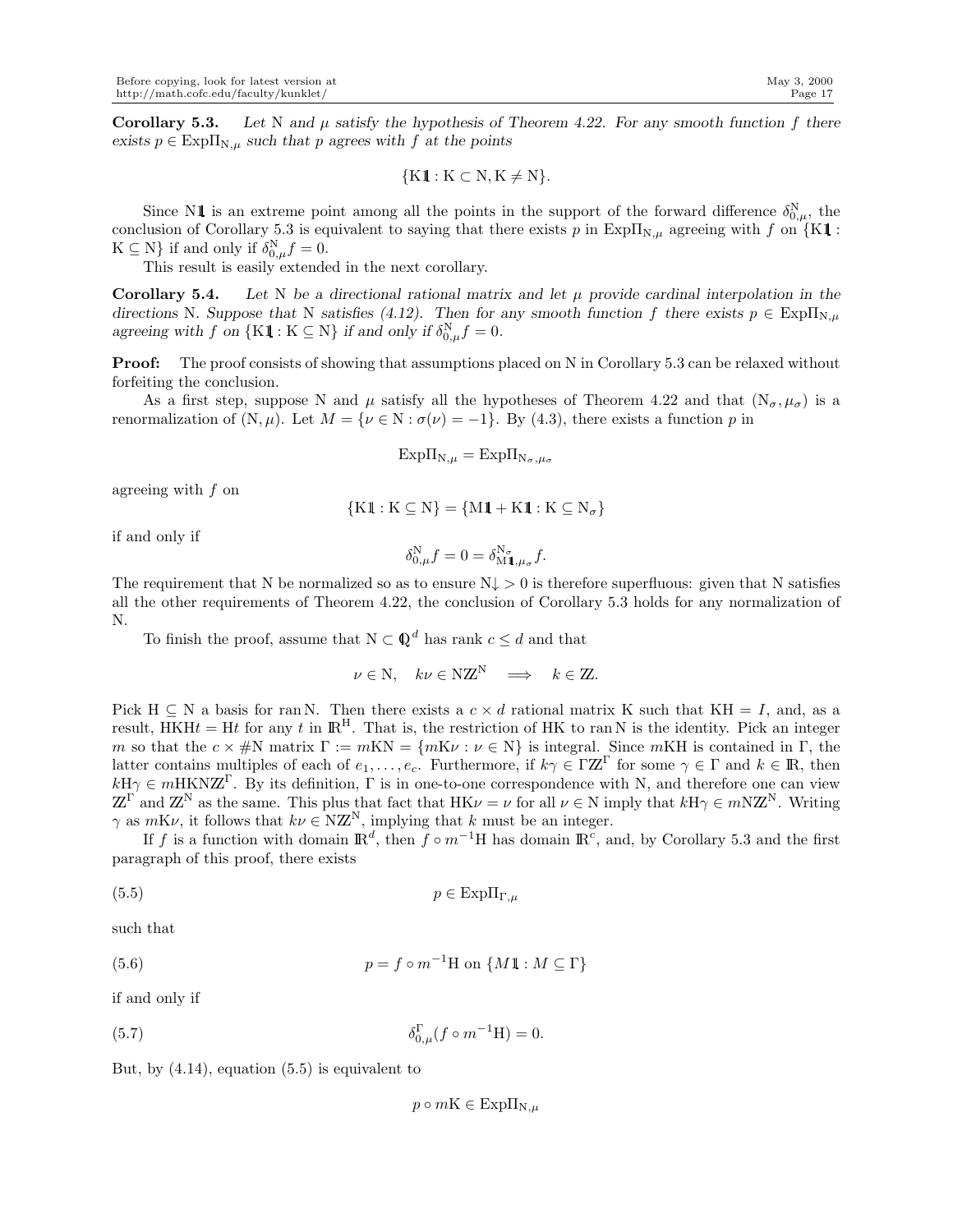Corollary 5.3. Let N and  $\mu$  satisfy the hypothesis of Theorem 4.22. For any smooth function f there  $\exists$  *exists*  $p \in \text{Exp}\Pi_{N,\mu}$  *such that* p *agrees with* f *at the points* 

$$
\{K1: K \subset N, K \neq N\}.
$$

Since N1 is an extreme point among all the points in the support of the forward difference  $\delta_{0,\mu}^{N}$ , the conclusion of Corollary 5.3 is equivalent to saying that there exists p in Exp $\Pi_{N,\mu}$  agreeing with f on {K1 :  $K \subseteq N$  if and only if  $\delta_{0,\mu}^N f = 0$ .

This result is easily extended in the next corollary.

**Corollary 5.4.** Let N be a directional rational matrix and let  $\mu$  provide cardinal interpolation in the *directions* N. Suppose that N satisfies (4.12). Then for any smooth function f there exists  $p \in \text{Exp}\Pi_{N,\mu}$ agreeing with f on  $\{K1 : K \subseteq N\}$  if and only if  $\delta_{0,\mu}^N f = 0$ .

**Proof:** The proof consists of showing that assumptions placed on N in Corollary 5.3 can be relaxed without forfeiting the conclusion.

As a first step, suppose N and  $\mu$  satisfy all the hypotheses of Theorem 4.22 and that  $(N_{\sigma}, \mu_{\sigma})$  is a renormalization of  $(N, \mu)$ . Let  $M = \{ \nu \in N : \sigma(\nu) = -1 \}$ . By (4.3), there exists a function p in

$$
Exp\Pi_{N,\mu} = Exp\Pi_{N_\sigma,\mu_\sigma}
$$

agreeing with f on

$$
\{K1: K \subseteq N\} = \{M1 + K1: K \subseteq N_{\sigma}\}\
$$

if and only if

$$
\delta_{0,\mu}^{\mathcal{N}}f = 0 = \delta_{\mathcal{M}\mathbb{1},\mu_{\sigma}}^{\mathcal{N}_{\sigma}}f.
$$

The requirement that N be normalized so as to ensure  $N\downarrow > 0$  is therefore superfluous: given that N satisfies all the other requirements of Theorem 4.22, the conclusion of Corollary 5.3 holds for any normalization of N.

To finish the proof, assume that  $N \subset \mathbb{Q}^d$  has rank  $c \leq d$  and that

$$
\nu \in \mathbf{N}, \quad k\nu \in \mathbf{NZ}^{\mathbf{N}} \quad \Longrightarrow \quad k \in \mathbf{Z}.
$$

Pick H  $\subseteq$  N a basis for ran N. Then there exists a  $c \times d$  rational matrix K such that KH = I, and, as a result, HKHt = Ht for any t in  $\mathbb{R}^H$ . That is, the restriction of HK to ran N is the identity. Pick an integer m so that the  $c \times \#N$  matrix  $\Gamma := mKN = \{mK\nu : \nu \in N\}$  is integral. Since mKH is contained in  $\Gamma$ , the latter contains multiples of each of  $e_1, \ldots, e_c$ . Furthermore, if  $k\gamma \in \Gamma \mathbb{Z}^{\Gamma}$  for some  $\gamma \in \Gamma$  and  $k \in \mathbb{R}$ , then  $kH\gamma \in mHKNZ^{\Gamma}$ . By its definition,  $\Gamma$  is in one-to-one correspondence with N, and therefore one can view  $\mathbb{Z}^{\Gamma}$  and  $\mathbb{Z}^{N}$  as the same. This plus that fact that  $HK\nu = \nu$  for all  $\nu \in N$  imply that  $kH\gamma \in m\mathbb{Z}^{N}$ . Writing  $\gamma$  as  $mK\nu$ , it follows that  $k\nu \in N\mathbb{Z}^N$ , implying that k must be an integer.

If f is a function with domain  $\mathbb{R}^d$ , then  $f \circ m^{-1}H$  has domain  $\mathbb{R}^c$ , and, by Corollary 5.3 and the first paragraph of this proof, there exists

(5.5) p ∈ ExpΠΓ,µ

such that

(5.6) 
$$
p = f \circ m^{-1} \text{H on } \{M1 : M \subseteq \Gamma\}
$$

if and only if

(5.7) 
$$
\delta_{0,\mu}^{\Gamma}(f \circ m^{-1}H) = 0.
$$

But, by (4.14), equation (5.5) is equivalent to

 $p \circ mK \in \mathrm{Exp}\Pi_{N,\mu}$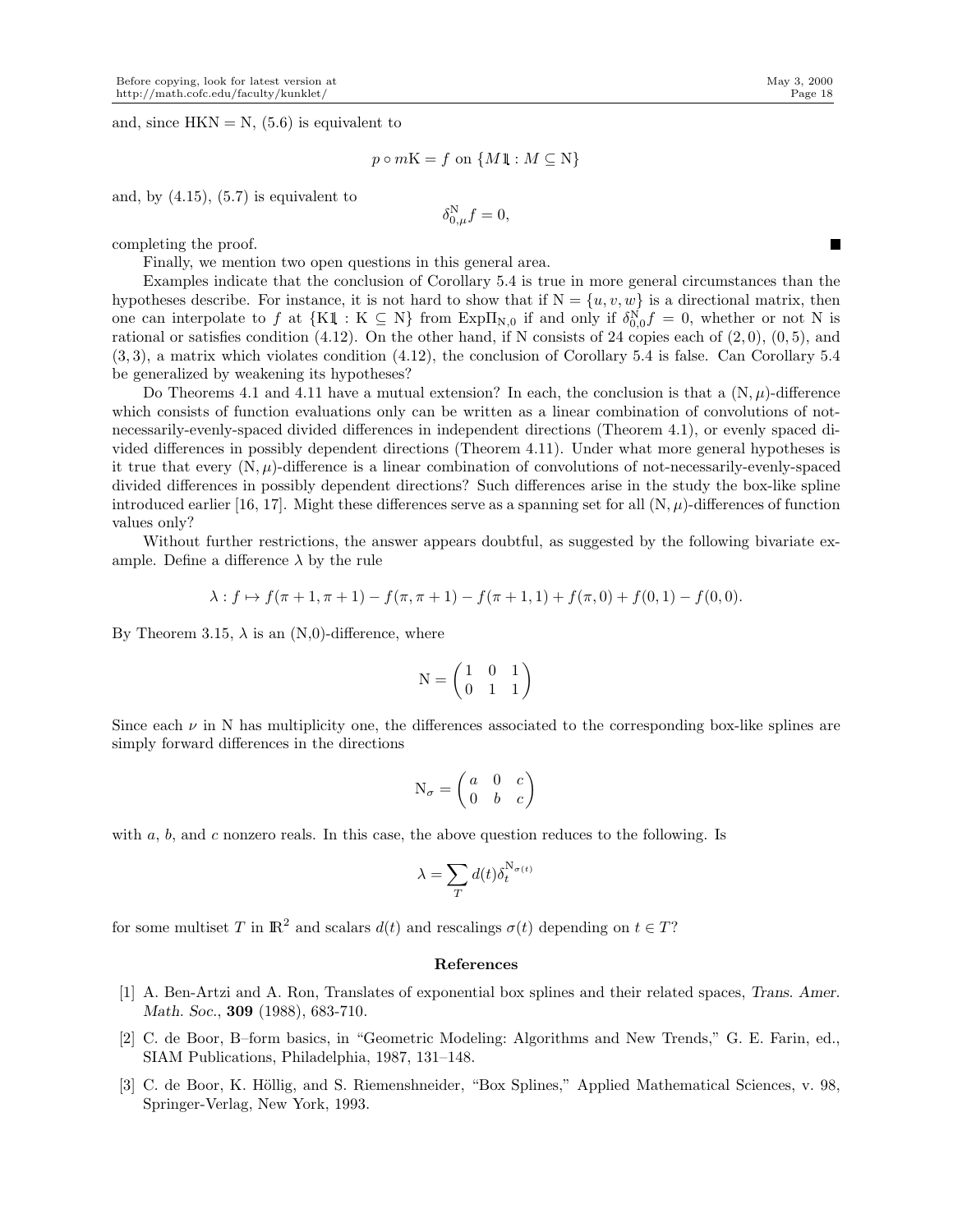and, since  $HKN = N$ , (5.6) is equivalent to

$$
p \circ mK = f \text{ on } \{M1 : M \subseteq N\}
$$

and, by  $(4.15)$ ,  $(5.7)$  is equivalent to

$$
\delta_{0,\mu}^{\mathcal{N}}f=0,
$$

completing the proof.

Finally, we mention two open questions in this general area.

Examples indicate that the conclusion of Corollary 5.4 is true in more general circumstances than the hypotheses describe. For instance, it is not hard to show that if  $N = \{u, v, w\}$  is a directional matrix, then one can interpolate to f at  $\{K1\,:\,K\subseteq N\}$  from Exp $\Pi_{N,0}$  if and only if  $\delta_{0,0}^N f = 0$ , whether or not N is rational or satisfies condition  $(4.12)$ . On the other hand, if N consists of 24 copies each of  $(2,0)$ ,  $(0,5)$ , and (3, 3), a matrix which violates condition (4.12), the conclusion of Corollary 5.4 is false. Can Corollary 5.4 be generalized by weakening its hypotheses?

Do Theorems 4.1 and 4.11 have a mutual extension? In each, the conclusion is that a  $(N, \mu)$ -difference which consists of function evaluations only can be written as a linear combination of convolutions of notnecessarily-evenly-spaced divided differences in independent directions (Theorem 4.1), or evenly spaced divided differences in possibly dependent directions (Theorem 4.11). Under what more general hypotheses is it true that every  $(N, \mu)$ -difference is a linear combination of convolutions of not-necessarily-evenly-spaced divided differences in possibly dependent directions? Such differences arise in the study the box-like spline introduced earlier [16, 17]. Might these differences serve as a spanning set for all  $(N, \mu)$ -differences of function values only?

Without further restrictions, the answer appears doubtful, as suggested by the following bivariate example. Define a difference  $\lambda$  by the rule

$$
\lambda: f \mapsto f(\pi + 1, \pi + 1) - f(\pi, \pi + 1) - f(\pi + 1, 1) + f(\pi, 0) + f(0, 1) - f(0, 0).
$$

By Theorem 3.15,  $\lambda$  is an (N,0)-difference, where

$$
N = \begin{pmatrix} 1 & 0 & 1 \\ 0 & 1 & 1 \end{pmatrix}
$$

Since each  $\nu$  in N has multiplicity one, the differences associated to the corresponding box-like splines are simply forward differences in the directions

$$
N_{\sigma} = \begin{pmatrix} a & 0 & c \\ 0 & b & c \end{pmatrix}
$$

with  $a, b$ , and c nonzero reals. In this case, the above question reduces to the following. Is

$$
\lambda = \sum_T d(t) \delta_t^{N_{\sigma(t)}}
$$

for some multiset T in  $\mathbb{R}^2$  and scalars  $d(t)$  and rescalings  $\sigma(t)$  depending on  $t \in T$ ?

## References

- [1] A. Ben-Artzi and A. Ron, Translates of exponential box splines and their related spaces, *Trans. Amer. Math. Soc.*, 309 (1988), 683-710.
- [2] C. de Boor, B–form basics, in "Geometric Modeling: Algorithms and New Trends," G. E. Farin, ed., SIAM Publications, Philadelphia, 1987, 131–148.
- [3] C. de Boor, K. Höllig, and S. Riemenshneider, "Box Splines," Applied Mathematical Sciences, v. 98, Springer-Verlag, New York, 1993.

п